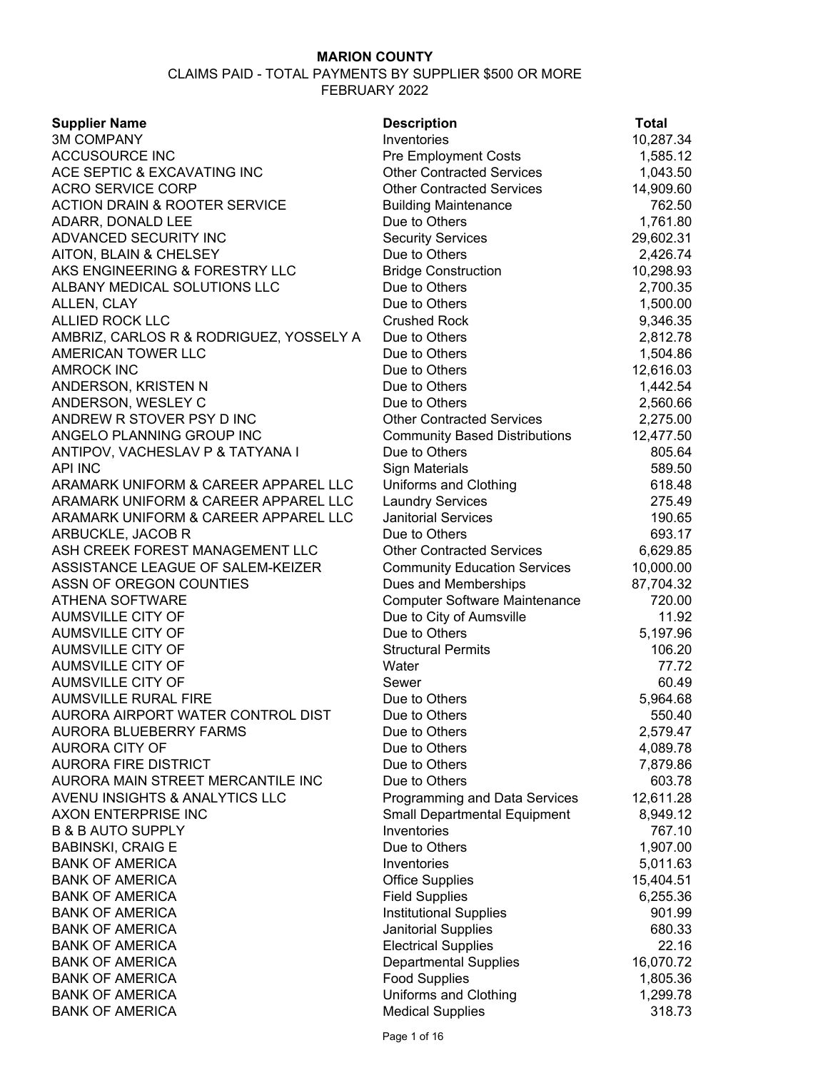| <b>Supplier Name</b>                     | <b>Description</b>                   | <b>Total</b> |
|------------------------------------------|--------------------------------------|--------------|
| <b>3M COMPANY</b>                        | Inventories                          | 10,287.34    |
| <b>ACCUSOURCE INC</b>                    | <b>Pre Employment Costs</b>          | 1,585.12     |
| ACE SEPTIC & EXCAVATING INC              | <b>Other Contracted Services</b>     | 1,043.50     |
| <b>ACRO SERVICE CORP</b>                 | <b>Other Contracted Services</b>     | 14,909.60    |
| <b>ACTION DRAIN &amp; ROOTER SERVICE</b> | <b>Building Maintenance</b>          | 762.50       |
| ADARR, DONALD LEE                        | Due to Others                        | 1,761.80     |
| ADVANCED SECURITY INC                    | <b>Security Services</b>             | 29,602.31    |
| AITON, BLAIN & CHELSEY                   | Due to Others                        | 2,426.74     |
| AKS ENGINEERING & FORESTRY LLC           | <b>Bridge Construction</b>           | 10,298.93    |
| ALBANY MEDICAL SOLUTIONS LLC             | Due to Others                        | 2,700.35     |
| ALLEN, CLAY                              | Due to Others                        | 1,500.00     |
| <b>ALLIED ROCK LLC</b>                   | <b>Crushed Rock</b>                  | 9,346.35     |
| AMBRIZ, CARLOS R & RODRIGUEZ, YOSSELY A  | Due to Others                        | 2,812.78     |
| AMERICAN TOWER LLC                       | Due to Others                        | 1,504.86     |
| <b>AMROCK INC</b>                        | Due to Others                        | 12,616.03    |
| ANDERSON, KRISTEN N                      | Due to Others                        | 1,442.54     |
| ANDERSON, WESLEY C                       | Due to Others                        | 2,560.66     |
| ANDREW R STOVER PSY D INC                | <b>Other Contracted Services</b>     | 2,275.00     |
| ANGELO PLANNING GROUP INC                | <b>Community Based Distributions</b> | 12,477.50    |
| ANTIPOV, VACHESLAV P & TATYANA I         | Due to Others                        | 805.64       |
| <b>API INC</b>                           | Sign Materials                       | 589.50       |
| ARAMARK UNIFORM & CAREER APPAREL LLC     | Uniforms and Clothing                | 618.48       |
| ARAMARK UNIFORM & CAREER APPAREL LLC     | <b>Laundry Services</b>              | 275.49       |
| ARAMARK UNIFORM & CAREER APPAREL LLC     | <b>Janitorial Services</b>           | 190.65       |
| ARBUCKLE, JACOB R                        | Due to Others                        | 693.17       |
| ASH CREEK FOREST MANAGEMENT LLC          | <b>Other Contracted Services</b>     | 6,629.85     |
| ASSISTANCE LEAGUE OF SALEM-KEIZER        | <b>Community Education Services</b>  | 10,000.00    |
| ASSN OF OREGON COUNTIES                  | Dues and Memberships                 | 87,704.32    |
| <b>ATHENA SOFTWARE</b>                   | <b>Computer Software Maintenance</b> | 720.00       |
| <b>AUMSVILLE CITY OF</b>                 | Due to City of Aumsville             | 11.92        |
| <b>AUMSVILLE CITY OF</b>                 | Due to Others                        | 5,197.96     |
| <b>AUMSVILLE CITY OF</b>                 | <b>Structural Permits</b>            | 106.20       |
| <b>AUMSVILLE CITY OF</b>                 | Water                                | 77.72        |
| <b>AUMSVILLE CITY OF</b>                 | Sewer                                | 60.49        |
| <b>AUMSVILLE RURAL FIRE</b>              | Due to Others                        | 5,964.68     |
| AURORA AIRPORT WATER CONTROL DIST        | Due to Others                        | 550.40       |
| AURORA BLUEBERRY FARMS                   | Due to Others                        | 2,579.47     |
| <b>AURORA CITY OF</b>                    | Due to Others                        | 4,089.78     |
| <b>AURORA FIRE DISTRICT</b>              | Due to Others                        | 7,879.86     |
| AURORA MAIN STREET MERCANTILE INC        | Due to Others                        | 603.78       |
| AVENU INSIGHTS & ANALYTICS LLC           | Programming and Data Services        | 12,611.28    |
| AXON ENTERPRISE INC                      | <b>Small Departmental Equipment</b>  | 8,949.12     |
| <b>B &amp; B AUTO SUPPLY</b>             | Inventories                          | 767.10       |
| <b>BABINSKI, CRAIG E</b>                 | Due to Others                        | 1,907.00     |
| <b>BANK OF AMERICA</b>                   | Inventories                          | 5,011.63     |
| <b>BANK OF AMERICA</b>                   | <b>Office Supplies</b>               | 15,404.51    |
| <b>BANK OF AMERICA</b>                   | <b>Field Supplies</b>                | 6,255.36     |
| <b>BANK OF AMERICA</b>                   | <b>Institutional Supplies</b>        | 901.99       |
| <b>BANK OF AMERICA</b>                   | Janitorial Supplies                  | 680.33       |
| <b>BANK OF AMERICA</b>                   | <b>Electrical Supplies</b>           | 22.16        |
| <b>BANK OF AMERICA</b>                   | <b>Departmental Supplies</b>         | 16,070.72    |
| <b>BANK OF AMERICA</b>                   | <b>Food Supplies</b>                 | 1,805.36     |
| <b>BANK OF AMERICA</b>                   | Uniforms and Clothing                | 1,299.78     |
| <b>BANK OF AMERICA</b>                   | <b>Medical Supplies</b>              | 318.73       |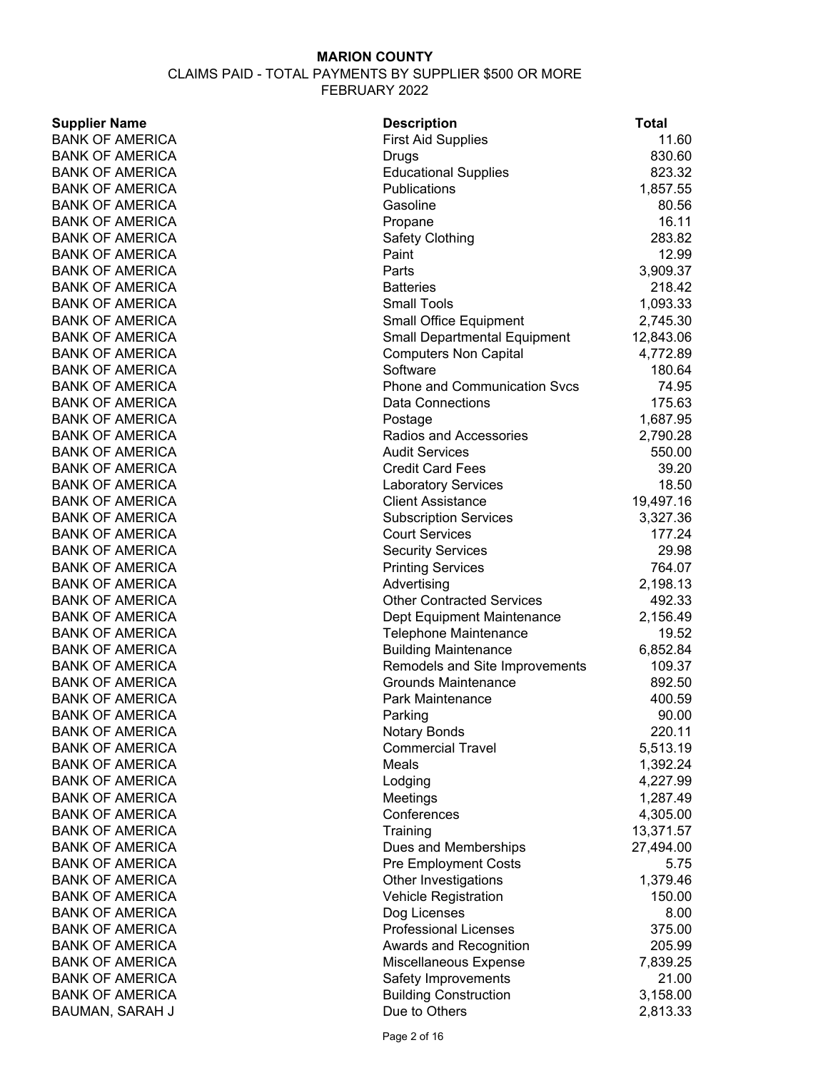#### CLAIMS PAID - TOTAL PAYMENTS BY SUPPLIER \$500 OR MORE FEBRUARY 2022

**Supplier Name Contract Contract Contract Contract Description Contract Contract Contract Contract Contract Contract Contract Contract Contract Contract Contract Contract Contract Contract Contract Contract Contract Contra** 

BANK OF AMERICA First Aid Supplies 11.60 BANK OF AMERICA **DRUGS** BANK OF AMERICA **DRUGS BANK OF AMERICA B** BANK OF AMERICA **Educational Supplies** 823.32 BANK OF AMERICA **Publications** Publications 1,857.55 BANK OF AMERICA Gasoline 80.56 BANK OF AMERICA **Propane** Propane **Propane** 26.11 BANK OF AMERICA **Safety Clothing** 283.82 BANK OF AMERICA **Paint 12.99** Paint 12.99 BANK OF AMERICA **Parts 2,909.37** Parts 3,909.37 BANK OF AMERICA **Batteries Batteries Batteries Batteries 218.42** BANK OF AMERICA Small Tools 1,093.33 BANK OF AMERICA Small Office Equipment 2,745.30 BANK OF AMERICA Small Departmental Equipment 12,843.06 BANK OF AMERICA **Computers Non Capital** 4,772.89 BANK OF AMERICA Software 180.64 BANK OF AMERICA **Phone and Communication Svcs** 74.95 BANK OF AMERICA **Data Connections** 175.63 BANK OF AMERICA **Postage 1,687.95** Postage 1,687.95 BANK OF AMERICA **Radios and Accessories** 2,790.28 BANK OF AMERICA Audit Services Audit Services 550.00 BANK OF AMERICA Credit Card Fees 39.20 BANK OF AMERICA Laboratory Services 28.50 BANK OF AMERICA Client Assistance 2014 19,497.16 BANK OF AMERICA Subscription Services 3,327.36 BANK OF AMERICA **COULD SERVICES** COURT SERVICES **177.24** BANK OF AMERICA **Security Services** 29.98 BANK OF AMERICA **Printing Services** 764.07 BANK OF AMERICA Advertising Advertising 2.198.13 BANK OF AMERICA **CONTRACTE CONTRACTED SERVICES** Other Contracted Services 492.33 BANK OF AMERICA **Dept Equipment Maintenance** 2,156.49 BANK OF AMERICA Telephone Maintenance 29.52 BANK OF AMERICA **Building Maintenance** 6,852.84 BANK OF AMERICA **Remodels and Site Improvements** 109.37 BANK OF AMERICA Grounds Maintenance 892.50 BANK OF AMERICA **Park Maintenance** 400.59 BANK OF AMERICA **Parking Parking 1999-1-12** Parking Parking 1990-00 BANK OF AMERICA Notary Bonds 220.11 BANK OF AMERICA Commercial Travel 65.513.19 BANK OF AMERICA **Meals** 1,392.24 BANK OF AMERICA **Lodging** External Lodging **1,227.99** BANK OF AMERICA **Meetings** 1,287.49 BANK OF AMERICA Conferences 4,305.00 BANK OF AMERICA TRAINING TRAINING TRAINING TRAINING TRAINING TRAINING TRAINING TRAINING TRAINING TRAINING TRAINING TRAINING TRAINING TRAINING TRAINING TRAINING TRAINING TRAINING TRAINING TRAINING TRAINING TRAINING TRAINING BANK OF AMERICA **DUES** and Memberships 27,494.00 BANK OF AMERICA **Pre Employment Costs** 5.75 BANK OF AMERICA **DEEP SEE ALCONOM** Other Investigations 1,379.46 BANK OF AMERICA **Subset Contract Contract Contract Vehicle Registration** 150.00 BANK OF AMERICA Dog Licenses 8.00 BANK OF AMERICA **Professional Licenses** 375.00 BANK OF AMERICA **Awards and Recognition** 205.99 BANK OF AMERICA **Miscellaneous Expense** 7,839.25 BANK OF AMERICA **Safety Improvements** 21.00 BANK OF AMERICA **Building Construction** 3,158.00 BAUMAN, SARAH J Due to Others 2,813.33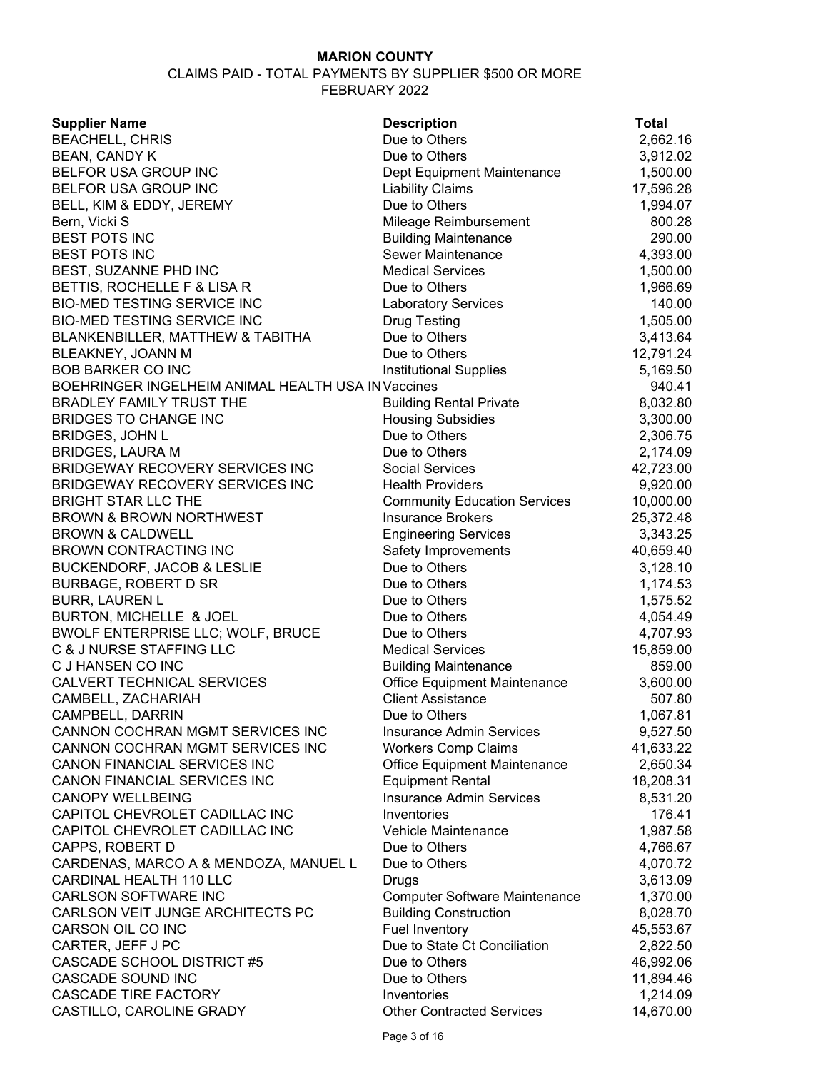| <b>Supplier Name</b>                               | <b>Description</b>                   | <b>Total</b> |
|----------------------------------------------------|--------------------------------------|--------------|
| <b>BEACHELL, CHRIS</b>                             | Due to Others                        | 2,662.16     |
| <b>BEAN, CANDY K</b>                               | Due to Others                        | 3,912.02     |
| BELFOR USA GROUP INC                               | Dept Equipment Maintenance           | 1,500.00     |
| BELFOR USA GROUP INC                               | <b>Liability Claims</b>              | 17,596.28    |
| BELL, KIM & EDDY, JEREMY                           | Due to Others                        | 1,994.07     |
| Bern, Vicki S                                      | Mileage Reimbursement                | 800.28       |
| <b>BEST POTS INC</b>                               | <b>Building Maintenance</b>          | 290.00       |
| <b>BEST POTS INC</b>                               | Sewer Maintenance                    | 4,393.00     |
| BEST, SUZANNE PHD INC                              | <b>Medical Services</b>              | 1,500.00     |
| BETTIS, ROCHELLE F & LISA R                        | Due to Others                        | 1,966.69     |
| <b>BIO-MED TESTING SERVICE INC</b>                 | <b>Laboratory Services</b>           | 140.00       |
| <b>BIO-MED TESTING SERVICE INC</b>                 | <b>Drug Testing</b>                  | 1,505.00     |
| BLANKENBILLER, MATTHEW & TABITHA                   | Due to Others                        | 3,413.64     |
| BLEAKNEY, JOANN M                                  | Due to Others                        | 12,791.24    |
| <b>BOB BARKER CO INC</b>                           | <b>Institutional Supplies</b>        | 5,169.50     |
| BOEHRINGER INGELHEIM ANIMAL HEALTH USA IN Vaccines |                                      | 940.41       |
| <b>BRADLEY FAMILY TRUST THE</b>                    | <b>Building Rental Private</b>       | 8,032.80     |
| <b>BRIDGES TO CHANGE INC</b>                       | <b>Housing Subsidies</b>             | 3,300.00     |
| <b>BRIDGES, JOHN L</b>                             | Due to Others                        | 2,306.75     |
| <b>BRIDGES, LAURA M</b>                            | Due to Others                        | 2,174.09     |
| BRIDGEWAY RECOVERY SERVICES INC                    | <b>Social Services</b>               | 42,723.00    |
| BRIDGEWAY RECOVERY SERVICES INC                    | <b>Health Providers</b>              | 9,920.00     |
| <b>BRIGHT STAR LLC THE</b>                         | <b>Community Education Services</b>  | 10,000.00    |
| <b>BROWN &amp; BROWN NORTHWEST</b>                 | <b>Insurance Brokers</b>             | 25,372.48    |
| <b>BROWN &amp; CALDWELL</b>                        | <b>Engineering Services</b>          | 3,343.25     |
| <b>BROWN CONTRACTING INC</b>                       | Safety Improvements                  | 40,659.40    |
| <b>BUCKENDORF, JACOB &amp; LESLIE</b>              | Due to Others                        | 3,128.10     |
| <b>BURBAGE, ROBERT D SR</b>                        | Due to Others                        | 1,174.53     |
| <b>BURR, LAUREN L</b>                              | Due to Others                        | 1,575.52     |
| BURTON, MICHELLE & JOEL                            | Due to Others                        | 4,054.49     |
| BWOLF ENTERPRISE LLC; WOLF, BRUCE                  | Due to Others                        | 4,707.93     |
| C & J NURSE STAFFING LLC                           | <b>Medical Services</b>              | 15,859.00    |
| C J HANSEN CO INC                                  | <b>Building Maintenance</b>          | 859.00       |
| CALVERT TECHNICAL SERVICES                         | Office Equipment Maintenance         | 3,600.00     |
| CAMBELL, ZACHARIAH                                 | <b>Client Assistance</b>             | 507.80       |
| CAMPBELL, DARRIN                                   | Due to Others                        | 1,067.81     |
| CANNON COCHRAN MGMT SERVICES INC                   | <b>Insurance Admin Services</b>      | 9,527.50     |
| CANNON COCHRAN MGMT SERVICES INC                   | <b>Workers Comp Claims</b>           | 41,633.22    |
| CANON FINANCIAL SERVICES INC                       | Office Equipment Maintenance         | 2,650.34     |
| CANON FINANCIAL SERVICES INC                       | <b>Equipment Rental</b>              | 18,208.31    |
| <b>CANOPY WELLBEING</b>                            | <b>Insurance Admin Services</b>      | 8,531.20     |
| CAPITOL CHEVROLET CADILLAC INC                     | Inventories                          | 176.41       |
| CAPITOL CHEVROLET CADILLAC INC                     | Vehicle Maintenance                  | 1,987.58     |
| CAPPS, ROBERT D                                    | Due to Others                        | 4,766.67     |
| CARDENAS, MARCO A & MENDOZA, MANUEL L              | Due to Others                        | 4,070.72     |
| CARDINAL HEALTH 110 LLC                            | Drugs                                | 3,613.09     |
| <b>CARLSON SOFTWARE INC</b>                        | <b>Computer Software Maintenance</b> | 1,370.00     |
| CARLSON VEIT JUNGE ARCHITECTS PC                   | <b>Building Construction</b>         | 8,028.70     |
| CARSON OIL CO INC                                  | <b>Fuel Inventory</b>                | 45,553.67    |
| CARTER, JEFF J PC                                  | Due to State Ct Conciliation         | 2,822.50     |
| CASCADE SCHOOL DISTRICT #5                         | Due to Others                        | 46,992.06    |
| CASCADE SOUND INC                                  | Due to Others                        | 11,894.46    |
| <b>CASCADE TIRE FACTORY</b>                        | Inventories                          | 1,214.09     |
| CASTILLO, CAROLINE GRADY                           | <b>Other Contracted Services</b>     | 14,670.00    |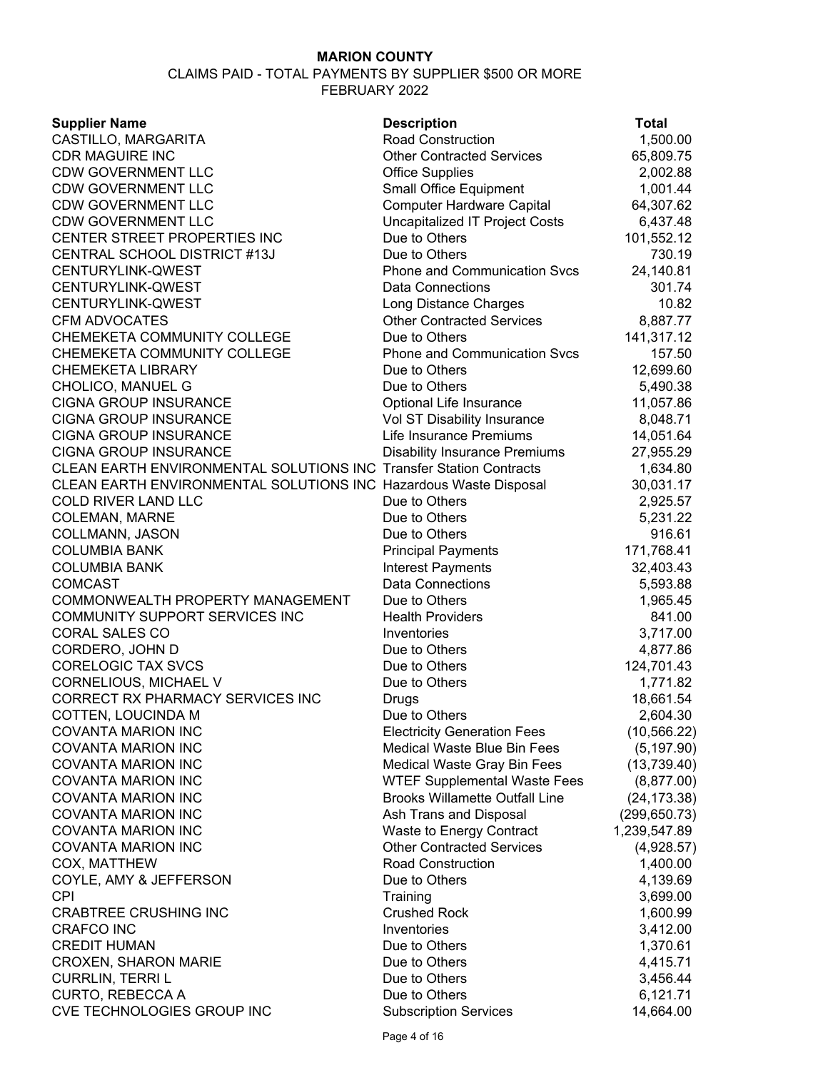| <b>Supplier Name</b>                                                      | <b>Description</b>                    | <b>Total</b>  |
|---------------------------------------------------------------------------|---------------------------------------|---------------|
| CASTILLO, MARGARITA                                                       | Road Construction                     | 1,500.00      |
| <b>CDR MAGUIRE INC</b>                                                    | <b>Other Contracted Services</b>      | 65,809.75     |
| <b>CDW GOVERNMENT LLC</b>                                                 | <b>Office Supplies</b>                | 2,002.88      |
| <b>CDW GOVERNMENT LLC</b>                                                 | <b>Small Office Equipment</b>         | 1,001.44      |
| <b>CDW GOVERNMENT LLC</b>                                                 | <b>Computer Hardware Capital</b>      | 64,307.62     |
| <b>CDW GOVERNMENT LLC</b>                                                 | <b>Uncapitalized IT Project Costs</b> | 6,437.48      |
| CENTER STREET PROPERTIES INC                                              | Due to Others                         | 101,552.12    |
| CENTRAL SCHOOL DISTRICT #13J                                              | Due to Others                         | 730.19        |
| CENTURYLINK-QWEST                                                         | <b>Phone and Communication Svcs</b>   | 24,140.81     |
| CENTURYLINK-QWEST                                                         | <b>Data Connections</b>               | 301.74        |
| CENTURYLINK-QWEST                                                         | Long Distance Charges                 | 10.82         |
| <b>CFM ADVOCATES</b>                                                      | <b>Other Contracted Services</b>      | 8,887.77      |
| CHEMEKETA COMMUNITY COLLEGE                                               | Due to Others                         | 141,317.12    |
| CHEMEKETA COMMUNITY COLLEGE                                               | <b>Phone and Communication Svcs</b>   | 157.50        |
| <b>CHEMEKETA LIBRARY</b>                                                  | Due to Others                         | 12,699.60     |
| CHOLICO, MANUEL G                                                         | Due to Others                         | 5,490.38      |
| <b>CIGNA GROUP INSURANCE</b>                                              | Optional Life Insurance               | 11,057.86     |
| <b>CIGNA GROUP INSURANCE</b>                                              | Vol ST Disability Insurance           | 8,048.71      |
| <b>CIGNA GROUP INSURANCE</b>                                              | Life Insurance Premiums               | 14,051.64     |
| <b>CIGNA GROUP INSURANCE</b>                                              | <b>Disability Insurance Premiums</b>  | 27,955.29     |
| <b>CLEAN EARTH ENVIRONMENTAL SOLUTIONS INC Transfer Station Contracts</b> |                                       | 1,634.80      |
| CLEAN EARTH ENVIRONMENTAL SOLUTIONS INC Hazardous Waste Disposal          |                                       | 30,031.17     |
| <b>COLD RIVER LAND LLC</b>                                                | Due to Others                         | 2,925.57      |
| <b>COLEMAN, MARNE</b>                                                     | Due to Others                         | 5,231.22      |
| COLLMANN, JASON                                                           | Due to Others                         | 916.61        |
| <b>COLUMBIA BANK</b>                                                      | <b>Principal Payments</b>             | 171,768.41    |
| <b>COLUMBIA BANK</b>                                                      | Interest Payments                     | 32,403.43     |
| <b>COMCAST</b>                                                            | <b>Data Connections</b>               | 5,593.88      |
| COMMONWEALTH PROPERTY MANAGEMENT                                          | Due to Others                         | 1,965.45      |
| COMMUNITY SUPPORT SERVICES INC                                            | <b>Health Providers</b>               | 841.00        |
| <b>CORAL SALES CO</b>                                                     | Inventories                           | 3,717.00      |
| CORDERO, JOHN D                                                           | Due to Others                         | 4,877.86      |
| <b>CORELOGIC TAX SVCS</b>                                                 | Due to Others                         | 124,701.43    |
| CORNELIOUS, MICHAEL V                                                     | Due to Others                         | 1,771.82      |
| CORRECT RX PHARMACY SERVICES INC                                          | Drugs                                 | 18,661.54     |
| COTTEN, LOUCINDA M                                                        | Due to Others                         | 2,604.30      |
| <b>COVANTA MARION INC</b>                                                 | <b>Electricity Generation Fees</b>    | (10, 566.22)  |
| <b>COVANTA MARION INC</b>                                                 | Medical Waste Blue Bin Fees           | (5, 197.90)   |
| <b>COVANTA MARION INC</b>                                                 | Medical Waste Gray Bin Fees           | (13, 739.40)  |
| <b>COVANTA MARION INC</b>                                                 | <b>WTEF Supplemental Waste Fees</b>   | (8,877.00)    |
| COVANTA MARION INC                                                        | <b>Brooks Willamette Outfall Line</b> | (24, 173.38)  |
| <b>COVANTA MARION INC</b>                                                 | Ash Trans and Disposal                | (299, 650.73) |
| <b>COVANTA MARION INC</b>                                                 | Waste to Energy Contract              | 1,239,547.89  |
| <b>COVANTA MARION INC</b>                                                 | <b>Other Contracted Services</b>      | (4,928.57)    |
| COX, MATTHEW                                                              | <b>Road Construction</b>              | 1,400.00      |
| COYLE, AMY & JEFFERSON                                                    | Due to Others                         | 4,139.69      |
| <b>CPI</b>                                                                | Training                              | 3,699.00      |
| <b>CRABTREE CRUSHING INC</b>                                              | <b>Crushed Rock</b>                   | 1,600.99      |
| <b>CRAFCO INC</b>                                                         | Inventories                           | 3,412.00      |
| <b>CREDIT HUMAN</b>                                                       | Due to Others                         | 1,370.61      |
| <b>CROXEN, SHARON MARIE</b>                                               | Due to Others                         | 4,415.71      |
| <b>CURRLIN, TERRI L</b>                                                   | Due to Others                         | 3,456.44      |
| <b>CURTO, REBECCA A</b>                                                   | Due to Others                         | 6,121.71      |
| CVE TECHNOLOGIES GROUP INC                                                | <b>Subscription Services</b>          | 14,664.00     |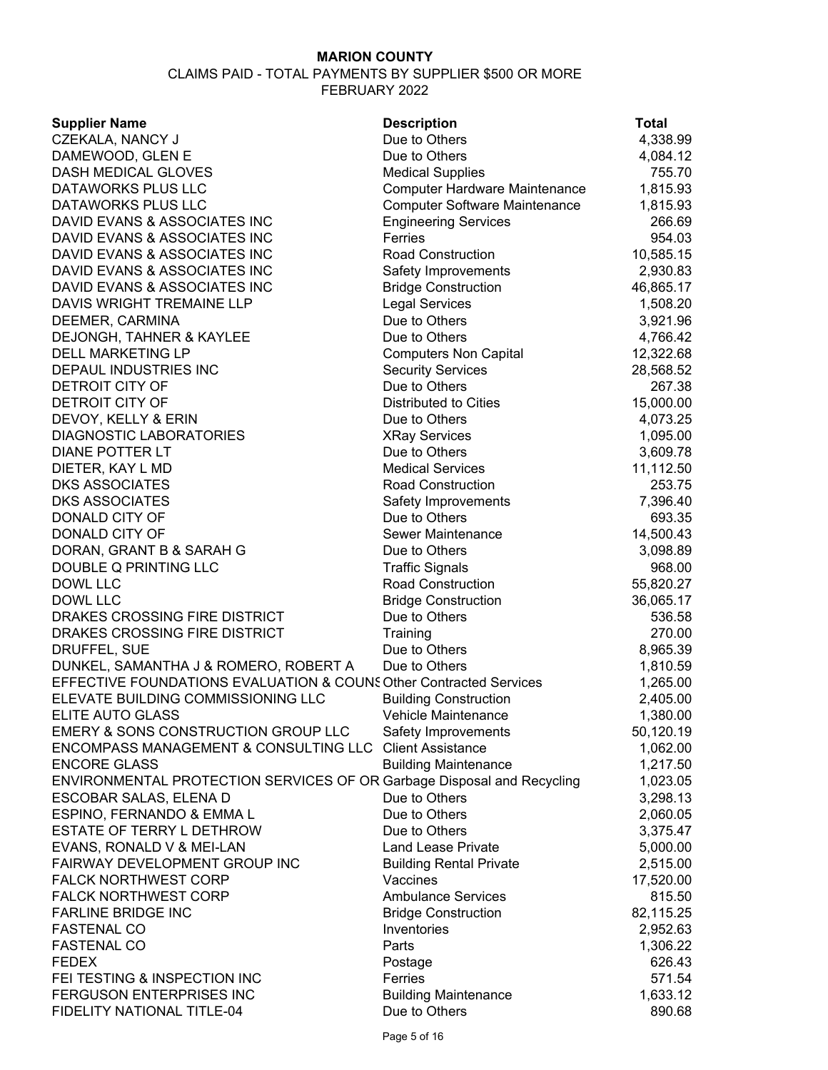| <b>Supplier Name</b>                                                   | <b>Description</b>                   | <b>Total</b> |
|------------------------------------------------------------------------|--------------------------------------|--------------|
| CZEKALA, NANCY J                                                       | Due to Others                        | 4,338.99     |
| DAMEWOOD, GLEN E                                                       | Due to Others                        | 4,084.12     |
| DASH MEDICAL GLOVES                                                    | <b>Medical Supplies</b>              | 755.70       |
| DATAWORKS PLUS LLC                                                     | <b>Computer Hardware Maintenance</b> | 1,815.93     |
| DATAWORKS PLUS LLC                                                     | <b>Computer Software Maintenance</b> | 1,815.93     |
| DAVID EVANS & ASSOCIATES INC                                           | <b>Engineering Services</b>          | 266.69       |
| DAVID EVANS & ASSOCIATES INC                                           | Ferries                              | 954.03       |
| DAVID EVANS & ASSOCIATES INC                                           | Road Construction                    | 10,585.15    |
| DAVID EVANS & ASSOCIATES INC                                           | Safety Improvements                  | 2,930.83     |
| DAVID EVANS & ASSOCIATES INC                                           | <b>Bridge Construction</b>           | 46,865.17    |
| DAVIS WRIGHT TREMAINE LLP                                              | <b>Legal Services</b>                | 1,508.20     |
| DEEMER, CARMINA                                                        | Due to Others                        | 3,921.96     |
| <b>DEJONGH, TAHNER &amp; KAYLEE</b>                                    | Due to Others                        | 4,766.42     |
| <b>DELL MARKETING LP</b>                                               | <b>Computers Non Capital</b>         | 12,322.68    |
| DEPAUL INDUSTRIES INC                                                  | <b>Security Services</b>             | 28,568.52    |
| DETROIT CITY OF                                                        | Due to Others                        | 267.38       |
| <b>DETROIT CITY OF</b>                                                 | Distributed to Cities                | 15,000.00    |
| DEVOY, KELLY & ERIN                                                    | Due to Others                        | 4,073.25     |
| <b>DIAGNOSTIC LABORATORIES</b>                                         | <b>XRay Services</b>                 | 1,095.00     |
| <b>DIANE POTTER LT</b>                                                 | Due to Others                        | 3,609.78     |
| DIETER, KAY L MD                                                       | <b>Medical Services</b>              | 11,112.50    |
| <b>DKS ASSOCIATES</b>                                                  | <b>Road Construction</b>             | 253.75       |
| <b>DKS ASSOCIATES</b>                                                  | Safety Improvements                  | 7,396.40     |
| DONALD CITY OF                                                         | Due to Others                        | 693.35       |
| DONALD CITY OF                                                         | Sewer Maintenance                    | 14,500.43    |
| DORAN, GRANT B & SARAH G                                               | Due to Others                        | 3,098.89     |
| DOUBLE Q PRINTING LLC                                                  | <b>Traffic Signals</b>               | 968.00       |
| <b>DOWL LLC</b>                                                        | <b>Road Construction</b>             | 55,820.27    |
| DOWL LLC                                                               | <b>Bridge Construction</b>           | 36,065.17    |
| DRAKES CROSSING FIRE DISTRICT                                          | Due to Others                        | 536.58       |
| DRAKES CROSSING FIRE DISTRICT                                          | Training                             | 270.00       |
| DRUFFEL, SUE                                                           | Due to Others                        | 8,965.39     |
| DUNKEL, SAMANTHA J & ROMERO, ROBERT A                                  | Due to Others                        | 1,810.59     |
| EFFECTIVE FOUNDATIONS EVALUATION & COUNS Other Contracted Services     |                                      | 1,265.00     |
| ELEVATE BUILDING COMMISSIONING LLC                                     | <b>Building Construction</b>         | 2,405.00     |
| FLITE AUTO GLASS                                                       | Vehicle Maintenance                  | 1,380.00     |
| EMERY & SONS CONSTRUCTION GROUP LLC                                    | Safety Improvements                  | 50,120.19    |
| ENCOMPASS MANAGEMENT & CONSULTING LLC                                  | <b>Client Assistance</b>             | 1,062.00     |
| <b>ENCORE GLASS</b>                                                    | <b>Building Maintenance</b>          | 1,217.50     |
| ENVIRONMENTAL PROTECTION SERVICES OF OR Garbage Disposal and Recycling |                                      | 1,023.05     |
| ESCOBAR SALAS, ELENA D                                                 | Due to Others                        | 3,298.13     |
| ESPINO, FERNANDO & EMMA L                                              | Due to Others                        | 2,060.05     |
| ESTATE OF TERRY L DETHROW                                              | Due to Others                        | 3,375.47     |
| EVANS, RONALD V & MEI-LAN                                              | <b>Land Lease Private</b>            | 5,000.00     |
| FAIRWAY DEVELOPMENT GROUP INC                                          | <b>Building Rental Private</b>       | 2,515.00     |
| <b>FALCK NORTHWEST CORP</b>                                            | Vaccines                             | 17,520.00    |
| <b>FALCK NORTHWEST CORP</b>                                            | <b>Ambulance Services</b>            | 815.50       |
| <b>FARLINE BRIDGE INC</b>                                              | <b>Bridge Construction</b>           | 82,115.25    |
| <b>FASTENAL CO</b>                                                     | Inventories                          | 2,952.63     |
| <b>FASTENAL CO</b>                                                     | Parts                                | 1,306.22     |
| <b>FEDEX</b>                                                           | Postage                              | 626.43       |
| FEI TESTING & INSPECTION INC                                           | Ferries                              | 571.54       |
| FERGUSON ENTERPRISES INC                                               | <b>Building Maintenance</b>          | 1,633.12     |
| FIDELITY NATIONAL TITLE-04                                             | Due to Others                        | 890.68       |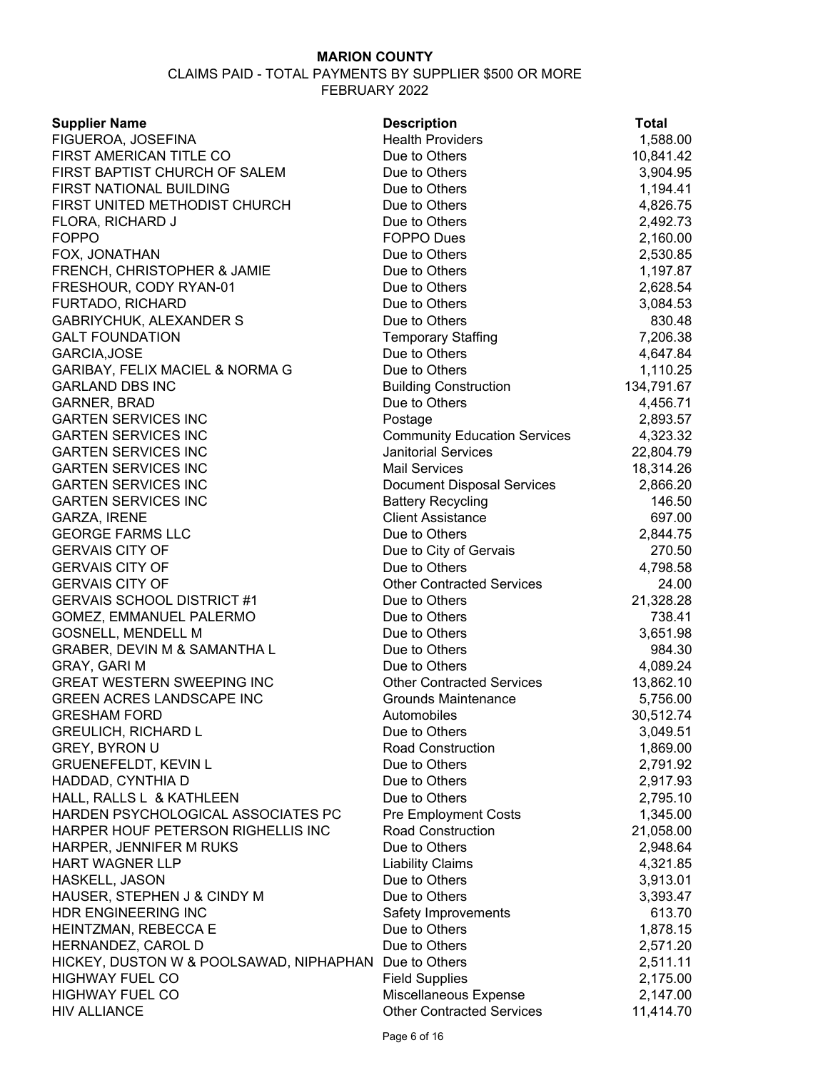#### CLAIMS PAID - TOTAL PAYMENTS BY SUPPLIER \$500 OR MORE FEBRUARY 2022

| <b>Supplier Name</b>                                  | <b>Description</b>                  | <b>Total</b> |
|-------------------------------------------------------|-------------------------------------|--------------|
| FIGUEROA, JOSEFINA                                    | <b>Health Providers</b>             | 1,588.00     |
| FIRST AMERICAN TITLE CO                               | Due to Others                       | 10,841.42    |
| FIRST BAPTIST CHURCH OF SALEM                         | Due to Others                       | 3,904.95     |
| FIRST NATIONAL BUILDING                               | Due to Others                       | 1,194.41     |
| FIRST UNITED METHODIST CHURCH                         | Due to Others                       | 4,826.75     |
| FLORA, RICHARD J                                      | Due to Others                       | 2,492.73     |
| <b>FOPPO</b>                                          | <b>FOPPO Dues</b>                   | 2,160.00     |
| FOX, JONATHAN                                         | Due to Others                       | 2,530.85     |
| FRENCH, CHRISTOPHER & JAMIE                           | Due to Others                       | 1,197.87     |
| FRESHOUR, CODY RYAN-01                                | Due to Others                       | 2,628.54     |
| FURTADO, RICHARD                                      | Due to Others                       | 3,084.53     |
| <b>GABRIYCHUK, ALEXANDER S</b>                        | Due to Others                       | 830.48       |
| <b>GALT FOUNDATION</b>                                | <b>Temporary Staffing</b>           | 7,206.38     |
| GARCIA, JOSE                                          | Due to Others                       | 4,647.84     |
| GARIBAY, FELIX MACIEL & NORMA G                       | Due to Others                       | 1,110.25     |
| <b>GARLAND DBS INC</b>                                | <b>Building Construction</b>        | 134,791.67   |
| GARNER, BRAD                                          | Due to Others                       | 4,456.71     |
| <b>GARTEN SERVICES INC</b>                            | Postage                             | 2,893.57     |
| <b>GARTEN SERVICES INC</b>                            | <b>Community Education Services</b> | 4,323.32     |
| <b>GARTEN SERVICES INC</b>                            | <b>Janitorial Services</b>          | 22,804.79    |
| <b>GARTEN SERVICES INC</b>                            | <b>Mail Services</b>                | 18,314.26    |
| <b>GARTEN SERVICES INC</b>                            | <b>Document Disposal Services</b>   | 2,866.20     |
| <b>GARTEN SERVICES INC</b>                            | <b>Battery Recycling</b>            | 146.50       |
| <b>GARZA, IRENE</b>                                   | <b>Client Assistance</b>            | 697.00       |
| <b>GEORGE FARMS LLC</b>                               | Due to Others                       | 2,844.75     |
| <b>GERVAIS CITY OF</b>                                | Due to City of Gervais              | 270.50       |
| <b>GERVAIS CITY OF</b>                                | Due to Others                       | 4,798.58     |
| <b>GERVAIS CITY OF</b>                                | <b>Other Contracted Services</b>    | 24.00        |
| <b>GERVAIS SCHOOL DISTRICT #1</b>                     | Due to Others                       | 21,328.28    |
| GOMEZ, EMMANUEL PALERMO                               | Due to Others                       | 738.41       |
| <b>GOSNELL, MENDELL M</b>                             | Due to Others                       | 3,651.98     |
| GRABER, DEVIN M & SAMANTHA L                          | Due to Others                       | 984.30       |
| <b>GRAY, GARI M</b>                                   | Due to Others                       | 4,089.24     |
| <b>GREAT WESTERN SWEEPING INC</b>                     | <b>Other Contracted Services</b>    | 13,862.10    |
| GREEN ACRES LANDSCAPE INC                             | Grounds Maintenance                 | 5,756.00     |
| <b>GRESHAM FORD</b>                                   | Automobiles                         | 30,512.74    |
| <b>GREULICH, RICHARD L</b>                            | Due to Others                       | 3,049.51     |
| <b>GREY, BYRON U</b>                                  | <b>Road Construction</b>            | 1,869.00     |
| <b>GRUENEFELDT, KEVIN L</b>                           | Due to Others                       | 2,791.92     |
| HADDAD, CYNTHIA D                                     | Due to Others                       | 2,917.93     |
| HALL, RALLS L & KATHLEEN                              | Due to Others                       | 2,795.10     |
| HARDEN PSYCHOLOGICAL ASSOCIATES PC                    | <b>Pre Employment Costs</b>         | 1,345.00     |
| HARPER HOUF PETERSON RIGHELLIS INC                    | <b>Road Construction</b>            | 21,058.00    |
| HARPER, JENNIFER M RUKS                               | Due to Others                       | 2,948.64     |
| <b>HART WAGNER LLP</b>                                | <b>Liability Claims</b>             | 4,321.85     |
| HASKELL, JASON                                        | Due to Others                       | 3,913.01     |
| HAUSER, STEPHEN J & CINDY M                           | Due to Others                       | 3,393.47     |
| HDR ENGINEERING INC                                   | Safety Improvements                 | 613.70       |
| HEINTZMAN, REBECCA E                                  | Due to Others                       | 1,878.15     |
| HERNANDEZ, CAROL D                                    | Due to Others                       | 2,571.20     |
| HICKEY, DUSTON W & POOLSAWAD, NIPHAPHAN Due to Others |                                     | 2,511.11     |
| <b>HIGHWAY FUEL CO</b>                                | <b>Field Supplies</b>               | 2,175.00     |
| <b>HIGHWAY FUEL CO</b>                                | Miscellaneous Expense               | 2,147.00     |
|                                                       |                                     |              |

HIV ALLIANCE Other Contracted Services 11,414.70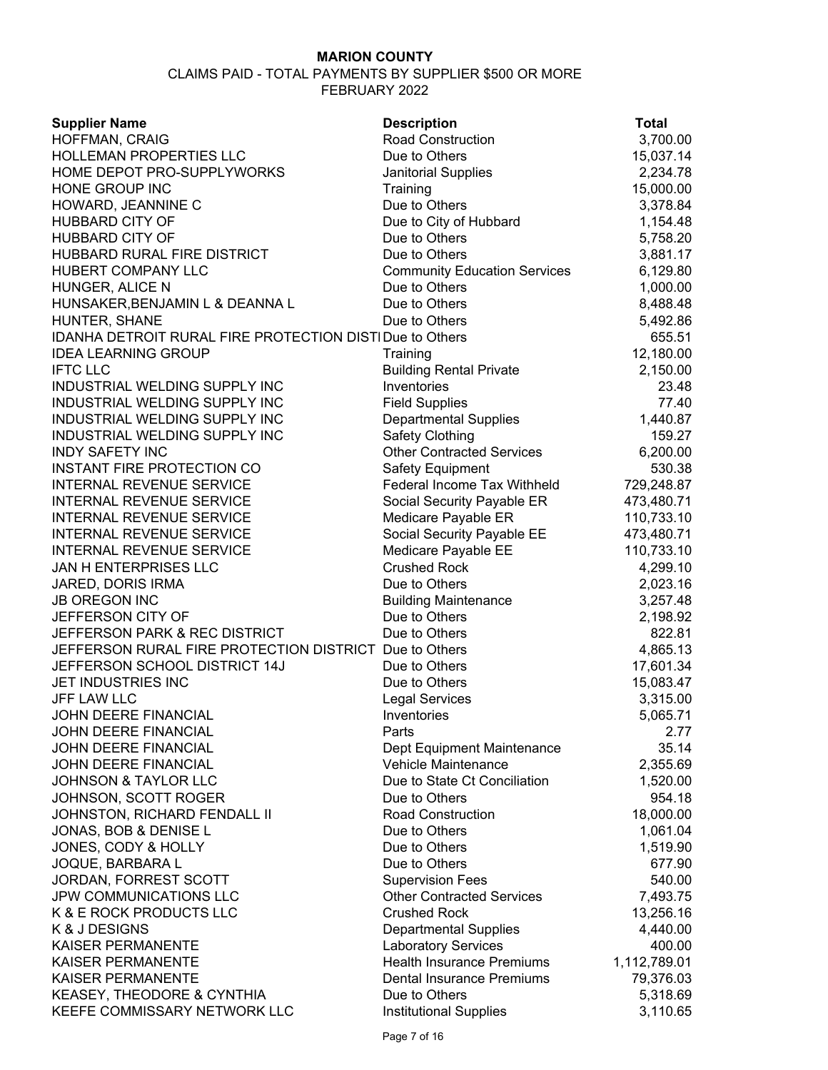| <b>Supplier Name</b>                                        | <b>Description</b>                  | <b>Total</b> |
|-------------------------------------------------------------|-------------------------------------|--------------|
| HOFFMAN, CRAIG                                              | <b>Road Construction</b>            | 3,700.00     |
| HOLLEMAN PROPERTIES LLC                                     | Due to Others                       | 15,037.14    |
| HOME DEPOT PRO-SUPPLYWORKS                                  | Janitorial Supplies                 | 2,234.78     |
| HONE GROUP INC                                              | Training                            | 15,000.00    |
| HOWARD, JEANNINE C                                          | Due to Others                       | 3,378.84     |
| <b>HUBBARD CITY OF</b>                                      | Due to City of Hubbard              | 1,154.48     |
| <b>HUBBARD CITY OF</b>                                      | Due to Others                       | 5,758.20     |
| HUBBARD RURAL FIRE DISTRICT                                 | Due to Others                       | 3,881.17     |
| <b>HUBERT COMPANY LLC</b>                                   | <b>Community Education Services</b> | 6,129.80     |
| HUNGER, ALICE N                                             | Due to Others                       | 1,000.00     |
| HUNSAKER, BENJAMIN L & DEANNA L                             | Due to Others                       | 8,488.48     |
| HUNTER, SHANE                                               | Due to Others                       | 5,492.86     |
| IDANHA DETROIT RURAL FIRE PROTECTION DISTIDue to Others     |                                     | 655.51       |
| <b>IDEA LEARNING GROUP</b>                                  | Training                            | 12,180.00    |
| <b>IFTC LLC</b>                                             | <b>Building Rental Private</b>      | 2,150.00     |
| INDUSTRIAL WELDING SUPPLY INC                               | Inventories                         | 23.48        |
| INDUSTRIAL WELDING SUPPLY INC                               | <b>Field Supplies</b>               | 77.40        |
| INDUSTRIAL WELDING SUPPLY INC                               | <b>Departmental Supplies</b>        | 1,440.87     |
| INDUSTRIAL WELDING SUPPLY INC                               |                                     | 159.27       |
|                                                             | <b>Safety Clothing</b>              |              |
| <b>INDY SAFETY INC</b><br><b>INSTANT FIRE PROTECTION CO</b> | <b>Other Contracted Services</b>    | 6,200.00     |
|                                                             | Safety Equipment                    | 530.38       |
| INTERNAL REVENUE SERVICE                                    | Federal Income Tax Withheld         | 729,248.87   |
| <b>INTERNAL REVENUE SERVICE</b>                             | Social Security Payable ER          | 473,480.71   |
| <b>INTERNAL REVENUE SERVICE</b>                             | Medicare Payable ER                 | 110,733.10   |
| <b>INTERNAL REVENUE SERVICE</b>                             | Social Security Payable EE          | 473,480.71   |
| <b>INTERNAL REVENUE SERVICE</b>                             | Medicare Payable EE                 | 110,733.10   |
| JAN H ENTERPRISES LLC                                       | <b>Crushed Rock</b>                 | 4,299.10     |
| JARED, DORIS IRMA                                           | Due to Others                       | 2,023.16     |
| <b>JB OREGON INC</b>                                        | <b>Building Maintenance</b>         | 3,257.48     |
| JEFFERSON CITY OF                                           | Due to Others                       | 2,198.92     |
| JEFFERSON PARK & REC DISTRICT                               | Due to Others                       | 822.81       |
| JEFFERSON RURAL FIRE PROTECTION DISTRICT Due to Others      |                                     | 4,865.13     |
| JEFFERSON SCHOOL DISTRICT 14J                               | Due to Others                       | 17,601.34    |
| JET INDUSTRIES INC                                          | Due to Others                       | 15,083.47    |
| JFF LAW LLC                                                 | <b>Legal Services</b>               | 3,315.00     |
| JOHN DEERE FINANCIAL                                        | Inventories                         | 5,065.71     |
| <b>JOHN DEERE FINANCIAL</b>                                 | Parts                               | 2.77         |
| <b>JOHN DEERE FINANCIAL</b>                                 | Dept Equipment Maintenance          | 35.14        |
| <b>JOHN DEERE FINANCIAL</b>                                 | Vehicle Maintenance                 | 2,355.69     |
| <b>JOHNSON &amp; TAYLOR LLC</b>                             | Due to State Ct Conciliation        | 1,520.00     |
| JOHNSON, SCOTT ROGER                                        | Due to Others                       | 954.18       |
| JOHNSTON, RICHARD FENDALL II                                | <b>Road Construction</b>            | 18,000.00    |
| JONAS, BOB & DENISE L                                       | Due to Others                       | 1,061.04     |
| JONES, CODY & HOLLY                                         | Due to Others                       | 1,519.90     |
| JOQUE, BARBARA L                                            | Due to Others                       | 677.90       |
| JORDAN, FORREST SCOTT                                       | <b>Supervision Fees</b>             | 540.00       |
| <b>JPW COMMUNICATIONS LLC</b>                               | <b>Other Contracted Services</b>    | 7,493.75     |
| K & E ROCK PRODUCTS LLC                                     | <b>Crushed Rock</b>                 | 13,256.16    |
| K & J DESIGNS                                               | <b>Departmental Supplies</b>        | 4,440.00     |
| <b>KAISER PERMANENTE</b>                                    | <b>Laboratory Services</b>          | 400.00       |
| <b>KAISER PERMANENTE</b>                                    | <b>Health Insurance Premiums</b>    | 1,112,789.01 |
| <b>KAISER PERMANENTE</b>                                    | <b>Dental Insurance Premiums</b>    | 79,376.03    |
| KEASEY, THEODORE & CYNTHIA                                  | Due to Others                       | 5,318.69     |
| KEEFE COMMISSARY NETWORK LLC                                | Institutional Supplies              | 3,110.65     |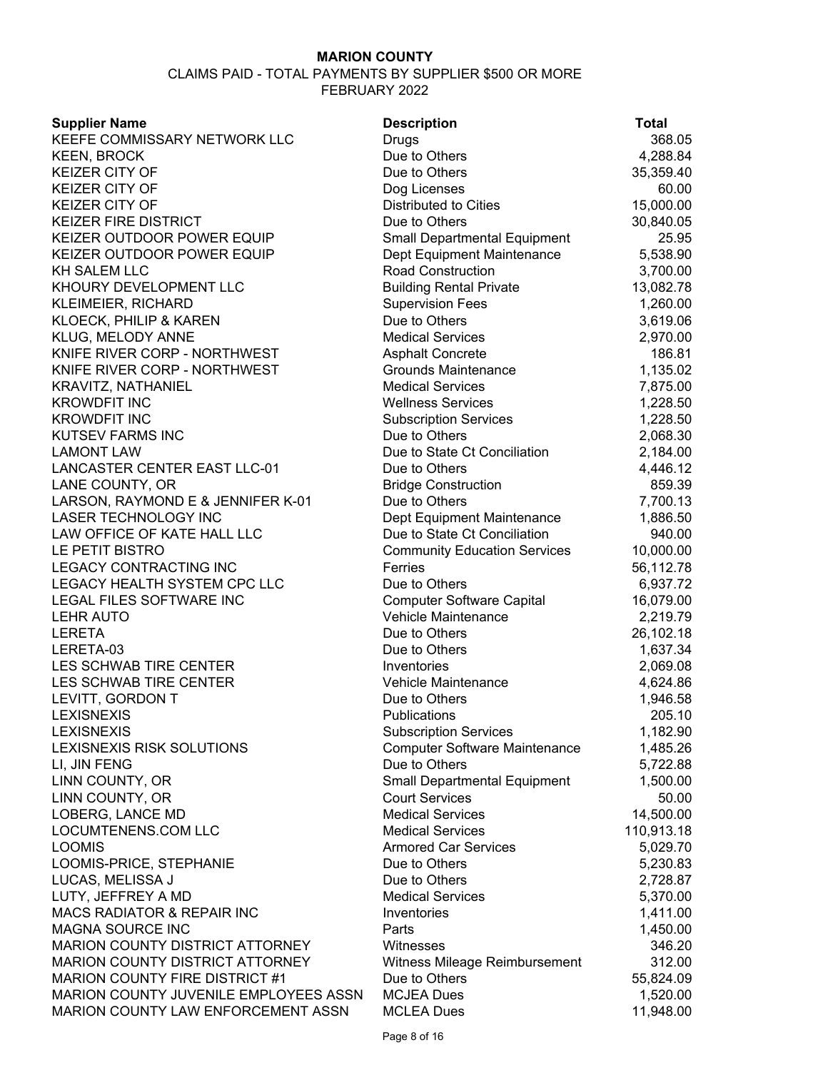| <b>Supplier Name</b>                                       | <b>Description</b>                   | <b>Total</b>         |
|------------------------------------------------------------|--------------------------------------|----------------------|
| KEEFE COMMISSARY NETWORK LLC                               | <b>Drugs</b>                         | 368.05               |
| <b>KEEN, BROCK</b>                                         | Due to Others                        | 4,288.84             |
| <b>KEIZER CITY OF</b>                                      | Due to Others                        | 35,359.40            |
| <b>KEIZER CITY OF</b>                                      | Dog Licenses                         | 60.00                |
| <b>KEIZER CITY OF</b>                                      | <b>Distributed to Cities</b>         | 15,000.00            |
| <b>KEIZER FIRE DISTRICT</b>                                | Due to Others                        | 30,840.05            |
| KEIZER OUTDOOR POWER EQUIP                                 | <b>Small Departmental Equipment</b>  | 25.95                |
| KEIZER OUTDOOR POWER EQUIP                                 | Dept Equipment Maintenance           | 5,538.90             |
| <b>KH SALEM LLC</b>                                        | <b>Road Construction</b>             | 3,700.00             |
| KHOURY DEVELOPMENT LLC                                     | <b>Building Rental Private</b>       | 13,082.78            |
| KLEIMEIER, RICHARD                                         | <b>Supervision Fees</b>              | 1,260.00             |
| KLOECK, PHILIP & KAREN                                     | Due to Others                        | 3,619.06             |
| KLUG, MELODY ANNE                                          | <b>Medical Services</b>              | 2,970.00             |
| KNIFE RIVER CORP - NORTHWEST                               | <b>Asphalt Concrete</b>              | 186.81               |
| KNIFE RIVER CORP - NORTHWEST                               | <b>Grounds Maintenance</b>           | 1,135.02             |
| KRAVITZ, NATHANIEL                                         | <b>Medical Services</b>              | 7,875.00             |
| <b>KROWDFIT INC</b>                                        | <b>Wellness Services</b>             | 1,228.50             |
| <b>KROWDFIT INC</b>                                        | <b>Subscription Services</b>         | 1,228.50             |
| <b>KUTSEV FARMS INC</b>                                    | Due to Others                        | 2,068.30             |
| <b>LAMONT LAW</b>                                          | Due to State Ct Conciliation         | 2,184.00             |
| <b>LANCASTER CENTER EAST LLC-01</b>                        | Due to Others                        | 4,446.12             |
| LANE COUNTY, OR                                            | <b>Bridge Construction</b>           | 859.39               |
| LARSON, RAYMOND E & JENNIFER K-01                          | Due to Others                        | 7,700.13             |
| LASER TECHNOLOGY INC                                       | Dept Equipment Maintenance           | 1,886.50             |
| LAW OFFICE OF KATE HALL LLC                                | Due to State Ct Conciliation         | 940.00               |
| LE PETIT BISTRO                                            | <b>Community Education Services</b>  | 10,000.00            |
| LEGACY CONTRACTING INC                                     | Ferries                              | 56,112.78            |
| LEGACY HEALTH SYSTEM CPC LLC                               | Due to Others                        | 6,937.72             |
| LEGAL FILES SOFTWARE INC                                   | <b>Computer Software Capital</b>     | 16,079.00            |
| <b>LEHR AUTO</b>                                           | Vehicle Maintenance                  | 2,219.79             |
| <b>LERETA</b>                                              | Due to Others                        | 26,102.18            |
| LERETA-03                                                  | Due to Others                        | 1,637.34             |
| LES SCHWAB TIRE CENTER                                     | Inventories                          | 2,069.08             |
| LES SCHWAB TIRE CENTER                                     | Vehicle Maintenance                  | 4,624.86             |
| LEVITT, GORDON T                                           | Due to Others                        | 1,946.58             |
| <b>LEXISNEXIS</b>                                          | Publications                         | 205.10               |
| <b>LEXISNEXIS</b>                                          | <b>Subscription Services</b>         | 1,182.90             |
| LEXISNEXIS RISK SOLUTIONS                                  | <b>Computer Software Maintenance</b> | 1,485.26             |
| LI, JIN FENG                                               | Due to Others                        | 5,722.88             |
| LINN COUNTY, OR                                            | <b>Small Departmental Equipment</b>  | 1,500.00             |
| LINN COUNTY, OR                                            | <b>Court Services</b>                | 50.00                |
| LOBERG, LANCE MD                                           | <b>Medical Services</b>              | 14,500.00            |
| LOCUMTENENS.COM LLC                                        | <b>Medical Services</b>              | 110,913.18           |
| <b>LOOMIS</b>                                              | <b>Armored Car Services</b>          | 5,029.70             |
| LOOMIS-PRICE, STEPHANIE                                    | Due to Others                        | 5,230.83             |
| LUCAS, MELISSA J                                           | Due to Others                        | 2,728.87             |
| LUTY, JEFFREY A MD                                         | <b>Medical Services</b>              |                      |
| MACS RADIATOR & REPAIR INC                                 | Inventories                          | 5,370.00<br>1,411.00 |
|                                                            |                                      |                      |
| <b>MAGNA SOURCE INC</b><br>MARION COUNTY DISTRICT ATTORNEY | Parts<br>Witnesses                   | 1,450.00<br>346.20   |
| MARION COUNTY DISTRICT ATTORNEY                            |                                      |                      |
| MARION COUNTY FIRE DISTRICT #1                             | Witness Mileage Reimbursement        | 312.00               |
|                                                            | Due to Others                        | 55,824.09            |
| MARION COUNTY JUVENILE EMPLOYEES ASSN                      | <b>MCJEA Dues</b>                    | 1,520.00             |
| MARION COUNTY LAW ENFORCEMENT ASSN                         | <b>MCLEA Dues</b>                    | 11,948.00            |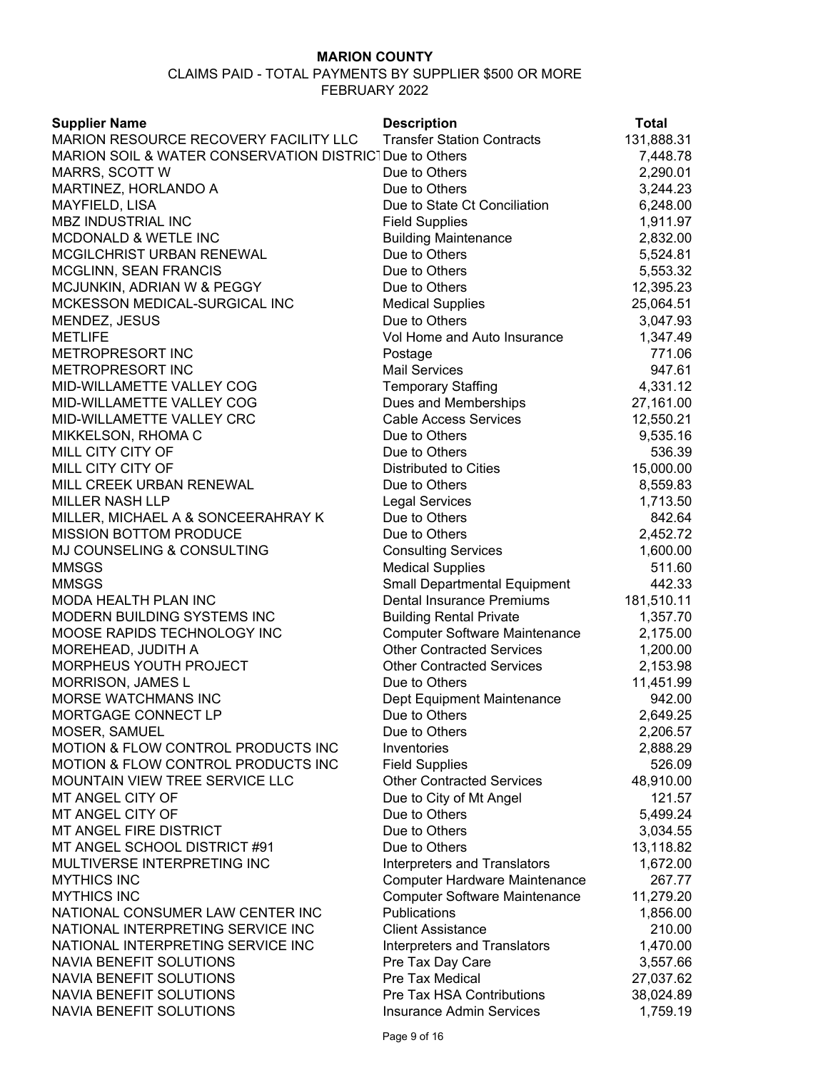| MARION RESOURCE RECOVERY FACILITY LLC<br><b>Transfer Station Contracts</b><br>131,888.31<br>MARION SOIL & WATER CONSERVATION DISTRICT Due to Others<br>7,448.78<br>2,290.01<br>MARRS, SCOTT W<br>Due to Others<br>MARTINEZ, HORLANDO A<br>Due to Others<br>3,244.23<br>MAYFIELD, LISA<br>Due to State Ct Conciliation<br>6,248.00<br>MBZ INDUSTRIAL INC<br><b>Field Supplies</b><br>1,911.97<br><b>MCDONALD &amp; WETLE INC</b><br><b>Building Maintenance</b><br>2,832.00<br>MCGILCHRIST URBAN RENEWAL<br>Due to Others<br>5,524.81<br>Due to Others<br><b>MCGLINN, SEAN FRANCIS</b><br>5,553.32<br>MCJUNKIN, ADRIAN W & PEGGY<br>Due to Others<br>12,395.23<br>MCKESSON MEDICAL-SURGICAL INC<br><b>Medical Supplies</b><br>25,064.51<br>Due to Others<br>3,047.93<br>MENDEZ, JESUS<br><b>METLIFE</b><br>Vol Home and Auto Insurance<br>1,347.49<br>METROPRESORT INC<br>771.06<br>Postage<br>METROPRESORT INC<br><b>Mail Services</b><br>947.61<br>MID-WILLAMETTE VALLEY COG<br><b>Temporary Staffing</b><br>4,331.12<br>MID-WILLAMETTE VALLEY COG<br>Dues and Memberships<br>27,161.00<br>MID-WILLAMETTE VALLEY CRC<br><b>Cable Access Services</b><br>12,550.21<br>MIKKELSON, RHOMA C<br>Due to Others<br>9,535.16<br>MILL CITY CITY OF<br>Due to Others<br>536.39<br>MILL CITY CITY OF<br><b>Distributed to Cities</b><br>15,000.00<br>MILL CREEK URBAN RENEWAL<br>Due to Others<br>8,559.83<br><b>MILLER NASH LLP</b><br><b>Legal Services</b><br>1,713.50<br>MILLER, MICHAEL A & SONCEERAHRAY K<br>Due to Others<br>842.64<br><b>MISSION BOTTOM PRODUCE</b><br>Due to Others<br>2,452.72<br>MJ COUNSELING & CONSULTING<br><b>Consulting Services</b><br>1,600.00<br><b>MMSGS</b><br><b>Medical Supplies</b><br>511.60<br><b>MMSGS</b><br>442.33<br><b>Small Departmental Equipment</b><br>MODA HEALTH PLAN INC<br><b>Dental Insurance Premiums</b><br>181,510.11<br>MODERN BUILDING SYSTEMS INC<br><b>Building Rental Private</b><br>1,357.70<br>MOOSE RAPIDS TECHNOLOGY INC<br><b>Computer Software Maintenance</b><br>2,175.00<br>MOREHEAD, JUDITH A<br><b>Other Contracted Services</b><br>1,200.00<br>MORPHEUS YOUTH PROJECT<br><b>Other Contracted Services</b><br>2,153.98<br>MORRISON, JAMES L<br>Due to Others<br>11,451.99<br>MORSE WATCHMANS INC<br>942.00<br>Dept Equipment Maintenance<br>MORTGAGE CONNECT LP<br>2,649.25<br>Due to Others<br>Due to Others<br>MOSER, SAMUEL<br>2,206.57<br>MOTION & FLOW CONTROL PRODUCTS INC<br>Inventories<br>2,888.29<br>MOTION & FLOW CONTROL PRODUCTS INC<br><b>Field Supplies</b><br>526.09<br><b>Other Contracted Services</b><br>MOUNTAIN VIEW TREE SERVICE LLC<br>48,910.00<br>MT ANGEL CITY OF<br>Due to City of Mt Angel<br>121.57<br>MT ANGEL CITY OF<br>5,499.24<br>Due to Others<br>Due to Others<br>MT ANGEL FIRE DISTRICT<br>3,034.55<br>MT ANGEL SCHOOL DISTRICT #91<br>Due to Others<br>13,118.82<br>MULTIVERSE INTERPRETING INC<br>Interpreters and Translators<br>1,672.00<br><b>MYTHICS INC</b><br>267.77<br><b>Computer Hardware Maintenance</b><br><b>MYTHICS INC</b><br>11,279.20<br><b>Computer Software Maintenance</b><br>NATIONAL CONSUMER LAW CENTER INC<br>Publications<br>1,856.00<br>NATIONAL INTERPRETING SERVICE INC<br><b>Client Assistance</b><br>210.00<br>NATIONAL INTERPRETING SERVICE INC<br>1,470.00<br><b>Interpreters and Translators</b><br>NAVIA BENEFIT SOLUTIONS<br>Pre Tax Day Care<br>3,557.66<br>Pre Tax Medical<br>NAVIA BENEFIT SOLUTIONS<br>27,037.62<br>NAVIA BENEFIT SOLUTIONS<br>Pre Tax HSA Contributions<br>38,024.89<br>NAVIA BENEFIT SOLUTIONS<br>1,759.19<br><b>Insurance Admin Services</b> | <b>Supplier Name</b> | <b>Description</b> | <b>Total</b> |
|--------------------------------------------------------------------------------------------------------------------------------------------------------------------------------------------------------------------------------------------------------------------------------------------------------------------------------------------------------------------------------------------------------------------------------------------------------------------------------------------------------------------------------------------------------------------------------------------------------------------------------------------------------------------------------------------------------------------------------------------------------------------------------------------------------------------------------------------------------------------------------------------------------------------------------------------------------------------------------------------------------------------------------------------------------------------------------------------------------------------------------------------------------------------------------------------------------------------------------------------------------------------------------------------------------------------------------------------------------------------------------------------------------------------------------------------------------------------------------------------------------------------------------------------------------------------------------------------------------------------------------------------------------------------------------------------------------------------------------------------------------------------------------------------------------------------------------------------------------------------------------------------------------------------------------------------------------------------------------------------------------------------------------------------------------------------------------------------------------------------------------------------------------------------------------------------------------------------------------------------------------------------------------------------------------------------------------------------------------------------------------------------------------------------------------------------------------------------------------------------------------------------------------------------------------------------------------------------------------------------------------------------------------------------------------------------------------------------------------------------------------------------------------------------------------------------------------------------------------------------------------------------------------------------------------------------------------------------------------------------------------------------------------------------------------------------------------------------------------------------------------------------------------------------------------------------------------------------------------------------------------------------------------------------------------------------------------------------------------------------------------------------------------------------------------------------------------------------------------------------------------------------------------------------------------------------------------------------------------------|----------------------|--------------------|--------------|
|                                                                                                                                                                                                                                                                                                                                                                                                                                                                                                                                                                                                                                                                                                                                                                                                                                                                                                                                                                                                                                                                                                                                                                                                                                                                                                                                                                                                                                                                                                                                                                                                                                                                                                                                                                                                                                                                                                                                                                                                                                                                                                                                                                                                                                                                                                                                                                                                                                                                                                                                                                                                                                                                                                                                                                                                                                                                                                                                                                                                                                                                                                                                                                                                                                                                                                                                                                                                                                                                                                                                                                                                              |                      |                    |              |
|                                                                                                                                                                                                                                                                                                                                                                                                                                                                                                                                                                                                                                                                                                                                                                                                                                                                                                                                                                                                                                                                                                                                                                                                                                                                                                                                                                                                                                                                                                                                                                                                                                                                                                                                                                                                                                                                                                                                                                                                                                                                                                                                                                                                                                                                                                                                                                                                                                                                                                                                                                                                                                                                                                                                                                                                                                                                                                                                                                                                                                                                                                                                                                                                                                                                                                                                                                                                                                                                                                                                                                                                              |                      |                    |              |
|                                                                                                                                                                                                                                                                                                                                                                                                                                                                                                                                                                                                                                                                                                                                                                                                                                                                                                                                                                                                                                                                                                                                                                                                                                                                                                                                                                                                                                                                                                                                                                                                                                                                                                                                                                                                                                                                                                                                                                                                                                                                                                                                                                                                                                                                                                                                                                                                                                                                                                                                                                                                                                                                                                                                                                                                                                                                                                                                                                                                                                                                                                                                                                                                                                                                                                                                                                                                                                                                                                                                                                                                              |                      |                    |              |
|                                                                                                                                                                                                                                                                                                                                                                                                                                                                                                                                                                                                                                                                                                                                                                                                                                                                                                                                                                                                                                                                                                                                                                                                                                                                                                                                                                                                                                                                                                                                                                                                                                                                                                                                                                                                                                                                                                                                                                                                                                                                                                                                                                                                                                                                                                                                                                                                                                                                                                                                                                                                                                                                                                                                                                                                                                                                                                                                                                                                                                                                                                                                                                                                                                                                                                                                                                                                                                                                                                                                                                                                              |                      |                    |              |
|                                                                                                                                                                                                                                                                                                                                                                                                                                                                                                                                                                                                                                                                                                                                                                                                                                                                                                                                                                                                                                                                                                                                                                                                                                                                                                                                                                                                                                                                                                                                                                                                                                                                                                                                                                                                                                                                                                                                                                                                                                                                                                                                                                                                                                                                                                                                                                                                                                                                                                                                                                                                                                                                                                                                                                                                                                                                                                                                                                                                                                                                                                                                                                                                                                                                                                                                                                                                                                                                                                                                                                                                              |                      |                    |              |
|                                                                                                                                                                                                                                                                                                                                                                                                                                                                                                                                                                                                                                                                                                                                                                                                                                                                                                                                                                                                                                                                                                                                                                                                                                                                                                                                                                                                                                                                                                                                                                                                                                                                                                                                                                                                                                                                                                                                                                                                                                                                                                                                                                                                                                                                                                                                                                                                                                                                                                                                                                                                                                                                                                                                                                                                                                                                                                                                                                                                                                                                                                                                                                                                                                                                                                                                                                                                                                                                                                                                                                                                              |                      |                    |              |
|                                                                                                                                                                                                                                                                                                                                                                                                                                                                                                                                                                                                                                                                                                                                                                                                                                                                                                                                                                                                                                                                                                                                                                                                                                                                                                                                                                                                                                                                                                                                                                                                                                                                                                                                                                                                                                                                                                                                                                                                                                                                                                                                                                                                                                                                                                                                                                                                                                                                                                                                                                                                                                                                                                                                                                                                                                                                                                                                                                                                                                                                                                                                                                                                                                                                                                                                                                                                                                                                                                                                                                                                              |                      |                    |              |
|                                                                                                                                                                                                                                                                                                                                                                                                                                                                                                                                                                                                                                                                                                                                                                                                                                                                                                                                                                                                                                                                                                                                                                                                                                                                                                                                                                                                                                                                                                                                                                                                                                                                                                                                                                                                                                                                                                                                                                                                                                                                                                                                                                                                                                                                                                                                                                                                                                                                                                                                                                                                                                                                                                                                                                                                                                                                                                                                                                                                                                                                                                                                                                                                                                                                                                                                                                                                                                                                                                                                                                                                              |                      |                    |              |
|                                                                                                                                                                                                                                                                                                                                                                                                                                                                                                                                                                                                                                                                                                                                                                                                                                                                                                                                                                                                                                                                                                                                                                                                                                                                                                                                                                                                                                                                                                                                                                                                                                                                                                                                                                                                                                                                                                                                                                                                                                                                                                                                                                                                                                                                                                                                                                                                                                                                                                                                                                                                                                                                                                                                                                                                                                                                                                                                                                                                                                                                                                                                                                                                                                                                                                                                                                                                                                                                                                                                                                                                              |                      |                    |              |
|                                                                                                                                                                                                                                                                                                                                                                                                                                                                                                                                                                                                                                                                                                                                                                                                                                                                                                                                                                                                                                                                                                                                                                                                                                                                                                                                                                                                                                                                                                                                                                                                                                                                                                                                                                                                                                                                                                                                                                                                                                                                                                                                                                                                                                                                                                                                                                                                                                                                                                                                                                                                                                                                                                                                                                                                                                                                                                                                                                                                                                                                                                                                                                                                                                                                                                                                                                                                                                                                                                                                                                                                              |                      |                    |              |
|                                                                                                                                                                                                                                                                                                                                                                                                                                                                                                                                                                                                                                                                                                                                                                                                                                                                                                                                                                                                                                                                                                                                                                                                                                                                                                                                                                                                                                                                                                                                                                                                                                                                                                                                                                                                                                                                                                                                                                                                                                                                                                                                                                                                                                                                                                                                                                                                                                                                                                                                                                                                                                                                                                                                                                                                                                                                                                                                                                                                                                                                                                                                                                                                                                                                                                                                                                                                                                                                                                                                                                                                              |                      |                    |              |
|                                                                                                                                                                                                                                                                                                                                                                                                                                                                                                                                                                                                                                                                                                                                                                                                                                                                                                                                                                                                                                                                                                                                                                                                                                                                                                                                                                                                                                                                                                                                                                                                                                                                                                                                                                                                                                                                                                                                                                                                                                                                                                                                                                                                                                                                                                                                                                                                                                                                                                                                                                                                                                                                                                                                                                                                                                                                                                                                                                                                                                                                                                                                                                                                                                                                                                                                                                                                                                                                                                                                                                                                              |                      |                    |              |
|                                                                                                                                                                                                                                                                                                                                                                                                                                                                                                                                                                                                                                                                                                                                                                                                                                                                                                                                                                                                                                                                                                                                                                                                                                                                                                                                                                                                                                                                                                                                                                                                                                                                                                                                                                                                                                                                                                                                                                                                                                                                                                                                                                                                                                                                                                                                                                                                                                                                                                                                                                                                                                                                                                                                                                                                                                                                                                                                                                                                                                                                                                                                                                                                                                                                                                                                                                                                                                                                                                                                                                                                              |                      |                    |              |
|                                                                                                                                                                                                                                                                                                                                                                                                                                                                                                                                                                                                                                                                                                                                                                                                                                                                                                                                                                                                                                                                                                                                                                                                                                                                                                                                                                                                                                                                                                                                                                                                                                                                                                                                                                                                                                                                                                                                                                                                                                                                                                                                                                                                                                                                                                                                                                                                                                                                                                                                                                                                                                                                                                                                                                                                                                                                                                                                                                                                                                                                                                                                                                                                                                                                                                                                                                                                                                                                                                                                                                                                              |                      |                    |              |
|                                                                                                                                                                                                                                                                                                                                                                                                                                                                                                                                                                                                                                                                                                                                                                                                                                                                                                                                                                                                                                                                                                                                                                                                                                                                                                                                                                                                                                                                                                                                                                                                                                                                                                                                                                                                                                                                                                                                                                                                                                                                                                                                                                                                                                                                                                                                                                                                                                                                                                                                                                                                                                                                                                                                                                                                                                                                                                                                                                                                                                                                                                                                                                                                                                                                                                                                                                                                                                                                                                                                                                                                              |                      |                    |              |
|                                                                                                                                                                                                                                                                                                                                                                                                                                                                                                                                                                                                                                                                                                                                                                                                                                                                                                                                                                                                                                                                                                                                                                                                                                                                                                                                                                                                                                                                                                                                                                                                                                                                                                                                                                                                                                                                                                                                                                                                                                                                                                                                                                                                                                                                                                                                                                                                                                                                                                                                                                                                                                                                                                                                                                                                                                                                                                                                                                                                                                                                                                                                                                                                                                                                                                                                                                                                                                                                                                                                                                                                              |                      |                    |              |
|                                                                                                                                                                                                                                                                                                                                                                                                                                                                                                                                                                                                                                                                                                                                                                                                                                                                                                                                                                                                                                                                                                                                                                                                                                                                                                                                                                                                                                                                                                                                                                                                                                                                                                                                                                                                                                                                                                                                                                                                                                                                                                                                                                                                                                                                                                                                                                                                                                                                                                                                                                                                                                                                                                                                                                                                                                                                                                                                                                                                                                                                                                                                                                                                                                                                                                                                                                                                                                                                                                                                                                                                              |                      |                    |              |
|                                                                                                                                                                                                                                                                                                                                                                                                                                                                                                                                                                                                                                                                                                                                                                                                                                                                                                                                                                                                                                                                                                                                                                                                                                                                                                                                                                                                                                                                                                                                                                                                                                                                                                                                                                                                                                                                                                                                                                                                                                                                                                                                                                                                                                                                                                                                                                                                                                                                                                                                                                                                                                                                                                                                                                                                                                                                                                                                                                                                                                                                                                                                                                                                                                                                                                                                                                                                                                                                                                                                                                                                              |                      |                    |              |
|                                                                                                                                                                                                                                                                                                                                                                                                                                                                                                                                                                                                                                                                                                                                                                                                                                                                                                                                                                                                                                                                                                                                                                                                                                                                                                                                                                                                                                                                                                                                                                                                                                                                                                                                                                                                                                                                                                                                                                                                                                                                                                                                                                                                                                                                                                                                                                                                                                                                                                                                                                                                                                                                                                                                                                                                                                                                                                                                                                                                                                                                                                                                                                                                                                                                                                                                                                                                                                                                                                                                                                                                              |                      |                    |              |
|                                                                                                                                                                                                                                                                                                                                                                                                                                                                                                                                                                                                                                                                                                                                                                                                                                                                                                                                                                                                                                                                                                                                                                                                                                                                                                                                                                                                                                                                                                                                                                                                                                                                                                                                                                                                                                                                                                                                                                                                                                                                                                                                                                                                                                                                                                                                                                                                                                                                                                                                                                                                                                                                                                                                                                                                                                                                                                                                                                                                                                                                                                                                                                                                                                                                                                                                                                                                                                                                                                                                                                                                              |                      |                    |              |
|                                                                                                                                                                                                                                                                                                                                                                                                                                                                                                                                                                                                                                                                                                                                                                                                                                                                                                                                                                                                                                                                                                                                                                                                                                                                                                                                                                                                                                                                                                                                                                                                                                                                                                                                                                                                                                                                                                                                                                                                                                                                                                                                                                                                                                                                                                                                                                                                                                                                                                                                                                                                                                                                                                                                                                                                                                                                                                                                                                                                                                                                                                                                                                                                                                                                                                                                                                                                                                                                                                                                                                                                              |                      |                    |              |
|                                                                                                                                                                                                                                                                                                                                                                                                                                                                                                                                                                                                                                                                                                                                                                                                                                                                                                                                                                                                                                                                                                                                                                                                                                                                                                                                                                                                                                                                                                                                                                                                                                                                                                                                                                                                                                                                                                                                                                                                                                                                                                                                                                                                                                                                                                                                                                                                                                                                                                                                                                                                                                                                                                                                                                                                                                                                                                                                                                                                                                                                                                                                                                                                                                                                                                                                                                                                                                                                                                                                                                                                              |                      |                    |              |
|                                                                                                                                                                                                                                                                                                                                                                                                                                                                                                                                                                                                                                                                                                                                                                                                                                                                                                                                                                                                                                                                                                                                                                                                                                                                                                                                                                                                                                                                                                                                                                                                                                                                                                                                                                                                                                                                                                                                                                                                                                                                                                                                                                                                                                                                                                                                                                                                                                                                                                                                                                                                                                                                                                                                                                                                                                                                                                                                                                                                                                                                                                                                                                                                                                                                                                                                                                                                                                                                                                                                                                                                              |                      |                    |              |
|                                                                                                                                                                                                                                                                                                                                                                                                                                                                                                                                                                                                                                                                                                                                                                                                                                                                                                                                                                                                                                                                                                                                                                                                                                                                                                                                                                                                                                                                                                                                                                                                                                                                                                                                                                                                                                                                                                                                                                                                                                                                                                                                                                                                                                                                                                                                                                                                                                                                                                                                                                                                                                                                                                                                                                                                                                                                                                                                                                                                                                                                                                                                                                                                                                                                                                                                                                                                                                                                                                                                                                                                              |                      |                    |              |
|                                                                                                                                                                                                                                                                                                                                                                                                                                                                                                                                                                                                                                                                                                                                                                                                                                                                                                                                                                                                                                                                                                                                                                                                                                                                                                                                                                                                                                                                                                                                                                                                                                                                                                                                                                                                                                                                                                                                                                                                                                                                                                                                                                                                                                                                                                                                                                                                                                                                                                                                                                                                                                                                                                                                                                                                                                                                                                                                                                                                                                                                                                                                                                                                                                                                                                                                                                                                                                                                                                                                                                                                              |                      |                    |              |
|                                                                                                                                                                                                                                                                                                                                                                                                                                                                                                                                                                                                                                                                                                                                                                                                                                                                                                                                                                                                                                                                                                                                                                                                                                                                                                                                                                                                                                                                                                                                                                                                                                                                                                                                                                                                                                                                                                                                                                                                                                                                                                                                                                                                                                                                                                                                                                                                                                                                                                                                                                                                                                                                                                                                                                                                                                                                                                                                                                                                                                                                                                                                                                                                                                                                                                                                                                                                                                                                                                                                                                                                              |                      |                    |              |
|                                                                                                                                                                                                                                                                                                                                                                                                                                                                                                                                                                                                                                                                                                                                                                                                                                                                                                                                                                                                                                                                                                                                                                                                                                                                                                                                                                                                                                                                                                                                                                                                                                                                                                                                                                                                                                                                                                                                                                                                                                                                                                                                                                                                                                                                                                                                                                                                                                                                                                                                                                                                                                                                                                                                                                                                                                                                                                                                                                                                                                                                                                                                                                                                                                                                                                                                                                                                                                                                                                                                                                                                              |                      |                    |              |
|                                                                                                                                                                                                                                                                                                                                                                                                                                                                                                                                                                                                                                                                                                                                                                                                                                                                                                                                                                                                                                                                                                                                                                                                                                                                                                                                                                                                                                                                                                                                                                                                                                                                                                                                                                                                                                                                                                                                                                                                                                                                                                                                                                                                                                                                                                                                                                                                                                                                                                                                                                                                                                                                                                                                                                                                                                                                                                                                                                                                                                                                                                                                                                                                                                                                                                                                                                                                                                                                                                                                                                                                              |                      |                    |              |
|                                                                                                                                                                                                                                                                                                                                                                                                                                                                                                                                                                                                                                                                                                                                                                                                                                                                                                                                                                                                                                                                                                                                                                                                                                                                                                                                                                                                                                                                                                                                                                                                                                                                                                                                                                                                                                                                                                                                                                                                                                                                                                                                                                                                                                                                                                                                                                                                                                                                                                                                                                                                                                                                                                                                                                                                                                                                                                                                                                                                                                                                                                                                                                                                                                                                                                                                                                                                                                                                                                                                                                                                              |                      |                    |              |
|                                                                                                                                                                                                                                                                                                                                                                                                                                                                                                                                                                                                                                                                                                                                                                                                                                                                                                                                                                                                                                                                                                                                                                                                                                                                                                                                                                                                                                                                                                                                                                                                                                                                                                                                                                                                                                                                                                                                                                                                                                                                                                                                                                                                                                                                                                                                                                                                                                                                                                                                                                                                                                                                                                                                                                                                                                                                                                                                                                                                                                                                                                                                                                                                                                                                                                                                                                                                                                                                                                                                                                                                              |                      |                    |              |
|                                                                                                                                                                                                                                                                                                                                                                                                                                                                                                                                                                                                                                                                                                                                                                                                                                                                                                                                                                                                                                                                                                                                                                                                                                                                                                                                                                                                                                                                                                                                                                                                                                                                                                                                                                                                                                                                                                                                                                                                                                                                                                                                                                                                                                                                                                                                                                                                                                                                                                                                                                                                                                                                                                                                                                                                                                                                                                                                                                                                                                                                                                                                                                                                                                                                                                                                                                                                                                                                                                                                                                                                              |                      |                    |              |
|                                                                                                                                                                                                                                                                                                                                                                                                                                                                                                                                                                                                                                                                                                                                                                                                                                                                                                                                                                                                                                                                                                                                                                                                                                                                                                                                                                                                                                                                                                                                                                                                                                                                                                                                                                                                                                                                                                                                                                                                                                                                                                                                                                                                                                                                                                                                                                                                                                                                                                                                                                                                                                                                                                                                                                                                                                                                                                                                                                                                                                                                                                                                                                                                                                                                                                                                                                                                                                                                                                                                                                                                              |                      |                    |              |
|                                                                                                                                                                                                                                                                                                                                                                                                                                                                                                                                                                                                                                                                                                                                                                                                                                                                                                                                                                                                                                                                                                                                                                                                                                                                                                                                                                                                                                                                                                                                                                                                                                                                                                                                                                                                                                                                                                                                                                                                                                                                                                                                                                                                                                                                                                                                                                                                                                                                                                                                                                                                                                                                                                                                                                                                                                                                                                                                                                                                                                                                                                                                                                                                                                                                                                                                                                                                                                                                                                                                                                                                              |                      |                    |              |
|                                                                                                                                                                                                                                                                                                                                                                                                                                                                                                                                                                                                                                                                                                                                                                                                                                                                                                                                                                                                                                                                                                                                                                                                                                                                                                                                                                                                                                                                                                                                                                                                                                                                                                                                                                                                                                                                                                                                                                                                                                                                                                                                                                                                                                                                                                                                                                                                                                                                                                                                                                                                                                                                                                                                                                                                                                                                                                                                                                                                                                                                                                                                                                                                                                                                                                                                                                                                                                                                                                                                                                                                              |                      |                    |              |
|                                                                                                                                                                                                                                                                                                                                                                                                                                                                                                                                                                                                                                                                                                                                                                                                                                                                                                                                                                                                                                                                                                                                                                                                                                                                                                                                                                                                                                                                                                                                                                                                                                                                                                                                                                                                                                                                                                                                                                                                                                                                                                                                                                                                                                                                                                                                                                                                                                                                                                                                                                                                                                                                                                                                                                                                                                                                                                                                                                                                                                                                                                                                                                                                                                                                                                                                                                                                                                                                                                                                                                                                              |                      |                    |              |
|                                                                                                                                                                                                                                                                                                                                                                                                                                                                                                                                                                                                                                                                                                                                                                                                                                                                                                                                                                                                                                                                                                                                                                                                                                                                                                                                                                                                                                                                                                                                                                                                                                                                                                                                                                                                                                                                                                                                                                                                                                                                                                                                                                                                                                                                                                                                                                                                                                                                                                                                                                                                                                                                                                                                                                                                                                                                                                                                                                                                                                                                                                                                                                                                                                                                                                                                                                                                                                                                                                                                                                                                              |                      |                    |              |
|                                                                                                                                                                                                                                                                                                                                                                                                                                                                                                                                                                                                                                                                                                                                                                                                                                                                                                                                                                                                                                                                                                                                                                                                                                                                                                                                                                                                                                                                                                                                                                                                                                                                                                                                                                                                                                                                                                                                                                                                                                                                                                                                                                                                                                                                                                                                                                                                                                                                                                                                                                                                                                                                                                                                                                                                                                                                                                                                                                                                                                                                                                                                                                                                                                                                                                                                                                                                                                                                                                                                                                                                              |                      |                    |              |
|                                                                                                                                                                                                                                                                                                                                                                                                                                                                                                                                                                                                                                                                                                                                                                                                                                                                                                                                                                                                                                                                                                                                                                                                                                                                                                                                                                                                                                                                                                                                                                                                                                                                                                                                                                                                                                                                                                                                                                                                                                                                                                                                                                                                                                                                                                                                                                                                                                                                                                                                                                                                                                                                                                                                                                                                                                                                                                                                                                                                                                                                                                                                                                                                                                                                                                                                                                                                                                                                                                                                                                                                              |                      |                    |              |
|                                                                                                                                                                                                                                                                                                                                                                                                                                                                                                                                                                                                                                                                                                                                                                                                                                                                                                                                                                                                                                                                                                                                                                                                                                                                                                                                                                                                                                                                                                                                                                                                                                                                                                                                                                                                                                                                                                                                                                                                                                                                                                                                                                                                                                                                                                                                                                                                                                                                                                                                                                                                                                                                                                                                                                                                                                                                                                                                                                                                                                                                                                                                                                                                                                                                                                                                                                                                                                                                                                                                                                                                              |                      |                    |              |
|                                                                                                                                                                                                                                                                                                                                                                                                                                                                                                                                                                                                                                                                                                                                                                                                                                                                                                                                                                                                                                                                                                                                                                                                                                                                                                                                                                                                                                                                                                                                                                                                                                                                                                                                                                                                                                                                                                                                                                                                                                                                                                                                                                                                                                                                                                                                                                                                                                                                                                                                                                                                                                                                                                                                                                                                                                                                                                                                                                                                                                                                                                                                                                                                                                                                                                                                                                                                                                                                                                                                                                                                              |                      |                    |              |
|                                                                                                                                                                                                                                                                                                                                                                                                                                                                                                                                                                                                                                                                                                                                                                                                                                                                                                                                                                                                                                                                                                                                                                                                                                                                                                                                                                                                                                                                                                                                                                                                                                                                                                                                                                                                                                                                                                                                                                                                                                                                                                                                                                                                                                                                                                                                                                                                                                                                                                                                                                                                                                                                                                                                                                                                                                                                                                                                                                                                                                                                                                                                                                                                                                                                                                                                                                                                                                                                                                                                                                                                              |                      |                    |              |
|                                                                                                                                                                                                                                                                                                                                                                                                                                                                                                                                                                                                                                                                                                                                                                                                                                                                                                                                                                                                                                                                                                                                                                                                                                                                                                                                                                                                                                                                                                                                                                                                                                                                                                                                                                                                                                                                                                                                                                                                                                                                                                                                                                                                                                                                                                                                                                                                                                                                                                                                                                                                                                                                                                                                                                                                                                                                                                                                                                                                                                                                                                                                                                                                                                                                                                                                                                                                                                                                                                                                                                                                              |                      |                    |              |
|                                                                                                                                                                                                                                                                                                                                                                                                                                                                                                                                                                                                                                                                                                                                                                                                                                                                                                                                                                                                                                                                                                                                                                                                                                                                                                                                                                                                                                                                                                                                                                                                                                                                                                                                                                                                                                                                                                                                                                                                                                                                                                                                                                                                                                                                                                                                                                                                                                                                                                                                                                                                                                                                                                                                                                                                                                                                                                                                                                                                                                                                                                                                                                                                                                                                                                                                                                                                                                                                                                                                                                                                              |                      |                    |              |
|                                                                                                                                                                                                                                                                                                                                                                                                                                                                                                                                                                                                                                                                                                                                                                                                                                                                                                                                                                                                                                                                                                                                                                                                                                                                                                                                                                                                                                                                                                                                                                                                                                                                                                                                                                                                                                                                                                                                                                                                                                                                                                                                                                                                                                                                                                                                                                                                                                                                                                                                                                                                                                                                                                                                                                                                                                                                                                                                                                                                                                                                                                                                                                                                                                                                                                                                                                                                                                                                                                                                                                                                              |                      |                    |              |
|                                                                                                                                                                                                                                                                                                                                                                                                                                                                                                                                                                                                                                                                                                                                                                                                                                                                                                                                                                                                                                                                                                                                                                                                                                                                                                                                                                                                                                                                                                                                                                                                                                                                                                                                                                                                                                                                                                                                                                                                                                                                                                                                                                                                                                                                                                                                                                                                                                                                                                                                                                                                                                                                                                                                                                                                                                                                                                                                                                                                                                                                                                                                                                                                                                                                                                                                                                                                                                                                                                                                                                                                              |                      |                    |              |
|                                                                                                                                                                                                                                                                                                                                                                                                                                                                                                                                                                                                                                                                                                                                                                                                                                                                                                                                                                                                                                                                                                                                                                                                                                                                                                                                                                                                                                                                                                                                                                                                                                                                                                                                                                                                                                                                                                                                                                                                                                                                                                                                                                                                                                                                                                                                                                                                                                                                                                                                                                                                                                                                                                                                                                                                                                                                                                                                                                                                                                                                                                                                                                                                                                                                                                                                                                                                                                                                                                                                                                                                              |                      |                    |              |
|                                                                                                                                                                                                                                                                                                                                                                                                                                                                                                                                                                                                                                                                                                                                                                                                                                                                                                                                                                                                                                                                                                                                                                                                                                                                                                                                                                                                                                                                                                                                                                                                                                                                                                                                                                                                                                                                                                                                                                                                                                                                                                                                                                                                                                                                                                                                                                                                                                                                                                                                                                                                                                                                                                                                                                                                                                                                                                                                                                                                                                                                                                                                                                                                                                                                                                                                                                                                                                                                                                                                                                                                              |                      |                    |              |
|                                                                                                                                                                                                                                                                                                                                                                                                                                                                                                                                                                                                                                                                                                                                                                                                                                                                                                                                                                                                                                                                                                                                                                                                                                                                                                                                                                                                                                                                                                                                                                                                                                                                                                                                                                                                                                                                                                                                                                                                                                                                                                                                                                                                                                                                                                                                                                                                                                                                                                                                                                                                                                                                                                                                                                                                                                                                                                                                                                                                                                                                                                                                                                                                                                                                                                                                                                                                                                                                                                                                                                                                              |                      |                    |              |
|                                                                                                                                                                                                                                                                                                                                                                                                                                                                                                                                                                                                                                                                                                                                                                                                                                                                                                                                                                                                                                                                                                                                                                                                                                                                                                                                                                                                                                                                                                                                                                                                                                                                                                                                                                                                                                                                                                                                                                                                                                                                                                                                                                                                                                                                                                                                                                                                                                                                                                                                                                                                                                                                                                                                                                                                                                                                                                                                                                                                                                                                                                                                                                                                                                                                                                                                                                                                                                                                                                                                                                                                              |                      |                    |              |
|                                                                                                                                                                                                                                                                                                                                                                                                                                                                                                                                                                                                                                                                                                                                                                                                                                                                                                                                                                                                                                                                                                                                                                                                                                                                                                                                                                                                                                                                                                                                                                                                                                                                                                                                                                                                                                                                                                                                                                                                                                                                                                                                                                                                                                                                                                                                                                                                                                                                                                                                                                                                                                                                                                                                                                                                                                                                                                                                                                                                                                                                                                                                                                                                                                                                                                                                                                                                                                                                                                                                                                                                              |                      |                    |              |
|                                                                                                                                                                                                                                                                                                                                                                                                                                                                                                                                                                                                                                                                                                                                                                                                                                                                                                                                                                                                                                                                                                                                                                                                                                                                                                                                                                                                                                                                                                                                                                                                                                                                                                                                                                                                                                                                                                                                                                                                                                                                                                                                                                                                                                                                                                                                                                                                                                                                                                                                                                                                                                                                                                                                                                                                                                                                                                                                                                                                                                                                                                                                                                                                                                                                                                                                                                                                                                                                                                                                                                                                              |                      |                    |              |
|                                                                                                                                                                                                                                                                                                                                                                                                                                                                                                                                                                                                                                                                                                                                                                                                                                                                                                                                                                                                                                                                                                                                                                                                                                                                                                                                                                                                                                                                                                                                                                                                                                                                                                                                                                                                                                                                                                                                                                                                                                                                                                                                                                                                                                                                                                                                                                                                                                                                                                                                                                                                                                                                                                                                                                                                                                                                                                                                                                                                                                                                                                                                                                                                                                                                                                                                                                                                                                                                                                                                                                                                              |                      |                    |              |
|                                                                                                                                                                                                                                                                                                                                                                                                                                                                                                                                                                                                                                                                                                                                                                                                                                                                                                                                                                                                                                                                                                                                                                                                                                                                                                                                                                                                                                                                                                                                                                                                                                                                                                                                                                                                                                                                                                                                                                                                                                                                                                                                                                                                                                                                                                                                                                                                                                                                                                                                                                                                                                                                                                                                                                                                                                                                                                                                                                                                                                                                                                                                                                                                                                                                                                                                                                                                                                                                                                                                                                                                              |                      |                    |              |
|                                                                                                                                                                                                                                                                                                                                                                                                                                                                                                                                                                                                                                                                                                                                                                                                                                                                                                                                                                                                                                                                                                                                                                                                                                                                                                                                                                                                                                                                                                                                                                                                                                                                                                                                                                                                                                                                                                                                                                                                                                                                                                                                                                                                                                                                                                                                                                                                                                                                                                                                                                                                                                                                                                                                                                                                                                                                                                                                                                                                                                                                                                                                                                                                                                                                                                                                                                                                                                                                                                                                                                                                              |                      |                    |              |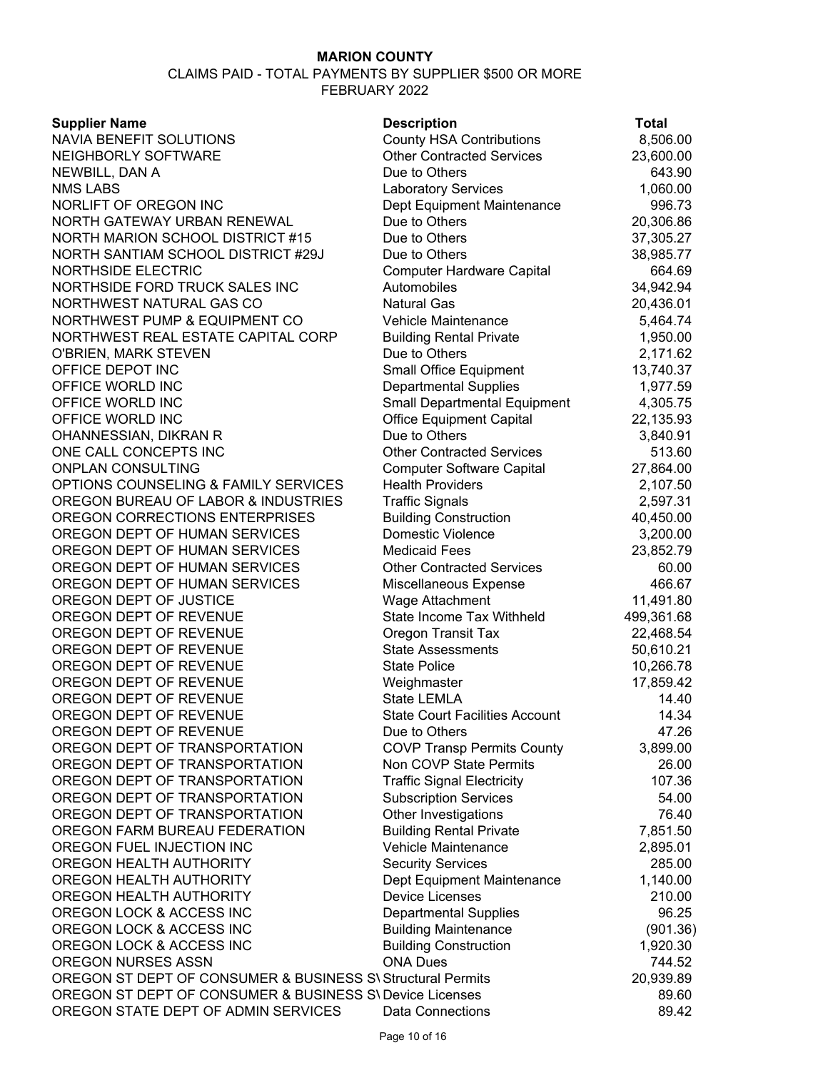| <b>Supplier Name</b>                                        | <b>Description</b>                                       | Total                |
|-------------------------------------------------------------|----------------------------------------------------------|----------------------|
| NAVIA BENEFIT SOLUTIONS                                     | <b>County HSA Contributions</b>                          | 8,506.00             |
| NEIGHBORLY SOFTWARE                                         | <b>Other Contracted Services</b>                         | 23,600.00            |
| NEWBILL, DAN A                                              | Due to Others                                            | 643.90               |
| <b>NMS LABS</b>                                             | <b>Laboratory Services</b>                               | 1,060.00             |
| NORLIFT OF OREGON INC                                       | Dept Equipment Maintenance                               | 996.73               |
| NORTH GATEWAY URBAN RENEWAL                                 | Due to Others                                            | 20,306.86            |
| NORTH MARION SCHOOL DISTRICT #15                            | Due to Others                                            | 37,305.27            |
| NORTH SANTIAM SCHOOL DISTRICT #29J                          | Due to Others                                            | 38,985.77            |
| <b>NORTHSIDE ELECTRIC</b>                                   | <b>Computer Hardware Capital</b>                         | 664.69               |
| NORTHSIDE FORD TRUCK SALES INC                              | Automobiles                                              | 34,942.94            |
| NORTHWEST NATURAL GAS CO                                    | <b>Natural Gas</b>                                       | 20,436.01            |
| NORTHWEST PUMP & EQUIPMENT CO                               | <b>Vehicle Maintenance</b>                               | 5,464.74             |
| NORTHWEST REAL ESTATE CAPITAL CORP                          | <b>Building Rental Private</b>                           | 1,950.00             |
| O'BRIEN, MARK STEVEN                                        | Due to Others                                            | 2,171.62             |
| OFFICE DEPOT INC                                            | <b>Small Office Equipment</b>                            | 13,740.37            |
| OFFICE WORLD INC                                            | <b>Departmental Supplies</b>                             | 1,977.59             |
| OFFICE WORLD INC                                            | <b>Small Departmental Equipment</b>                      | 4,305.75             |
| OFFICE WORLD INC                                            | <b>Office Equipment Capital</b>                          | 22,135.93            |
| OHANNESSIAN, DIKRAN R                                       | Due to Others                                            | 3,840.91             |
| ONE CALL CONCEPTS INC                                       | <b>Other Contracted Services</b>                         | 513.60               |
| <b>ONPLAN CONSULTING</b>                                    | <b>Computer Software Capital</b>                         |                      |
| OPTIONS COUNSELING & FAMILY SERVICES                        | <b>Health Providers</b>                                  | 27,864.00            |
| OREGON BUREAU OF LABOR & INDUSTRIES                         |                                                          | 2,107.50<br>2,597.31 |
| OREGON CORRECTIONS ENTERPRISES                              | <b>Traffic Signals</b>                                   |                      |
| OREGON DEPT OF HUMAN SERVICES                               | <b>Building Construction</b><br><b>Domestic Violence</b> | 40,450.00            |
| OREGON DEPT OF HUMAN SERVICES                               |                                                          | 3,200.00             |
| OREGON DEPT OF HUMAN SERVICES                               | <b>Medicaid Fees</b>                                     | 23,852.79            |
| OREGON DEPT OF HUMAN SERVICES                               | <b>Other Contracted Services</b>                         | 60.00                |
| OREGON DEPT OF JUSTICE                                      | Miscellaneous Expense                                    | 466.67               |
| OREGON DEPT OF REVENUE                                      | Wage Attachment<br>State Income Tax Withheld             | 11,491.80            |
| OREGON DEPT OF REVENUE                                      |                                                          | 499,361.68           |
| OREGON DEPT OF REVENUE                                      | <b>Oregon Transit Tax</b><br><b>State Assessments</b>    | 22,468.54            |
| OREGON DEPT OF REVENUE                                      | <b>State Police</b>                                      | 50,610.21            |
| OREGON DEPT OF REVENUE                                      |                                                          | 10,266.78            |
| OREGON DEPT OF REVENUE                                      | Weighmaster<br><b>State LEMLA</b>                        | 17,859.42<br>14.40   |
|                                                             |                                                          |                      |
| OREGON DEPT OF REVENUE<br>OREGON DEPT OF REVENUE            | <b>State Court Facilities Account</b><br>Due to Others   | 14.34                |
| OREGON DEPT OF TRANSPORTATION                               | <b>COVP Transp Permits County</b>                        | 47.26<br>3,899.00    |
| OREGON DEPT OF TRANSPORTATION                               | Non COVP State Permits                                   | 26.00                |
| OREGON DEPT OF TRANSPORTATION                               | <b>Traffic Signal Electricity</b>                        | 107.36               |
| OREGON DEPT OF TRANSPORTATION                               | <b>Subscription Services</b>                             | 54.00                |
| OREGON DEPT OF TRANSPORTATION                               | Other Investigations                                     | 76.40                |
| OREGON FARM BUREAU FEDERATION                               | <b>Building Rental Private</b>                           | 7,851.50             |
| OREGON FUEL INJECTION INC                                   | Vehicle Maintenance                                      | 2,895.01             |
| OREGON HEALTH AUTHORITY                                     | <b>Security Services</b>                                 | 285.00               |
| OREGON HEALTH AUTHORITY                                     |                                                          | 1,140.00             |
| OREGON HEALTH AUTHORITY                                     | Dept Equipment Maintenance<br><b>Device Licenses</b>     | 210.00               |
| OREGON LOCK & ACCESS INC                                    |                                                          | 96.25                |
| OREGON LOCK & ACCESS INC                                    | <b>Departmental Supplies</b>                             |                      |
| OREGON LOCK & ACCESS INC                                    | <b>Building Maintenance</b>                              | (901.36)             |
| OREGON NURSES ASSN                                          | <b>Building Construction</b><br><b>ONA Dues</b>          | 1,920.30<br>744.52   |
| OREGON ST DEPT OF CONSUMER & BUSINESS S\ Structural Permits |                                                          | 20,939.89            |
| OREGON ST DEPT OF CONSUMER & BUSINESS S\ Device Licenses    |                                                          | 89.60                |
| OREGON STATE DEPT OF ADMIN SERVICES                         | <b>Data Connections</b>                                  | 89.42                |
|                                                             |                                                          |                      |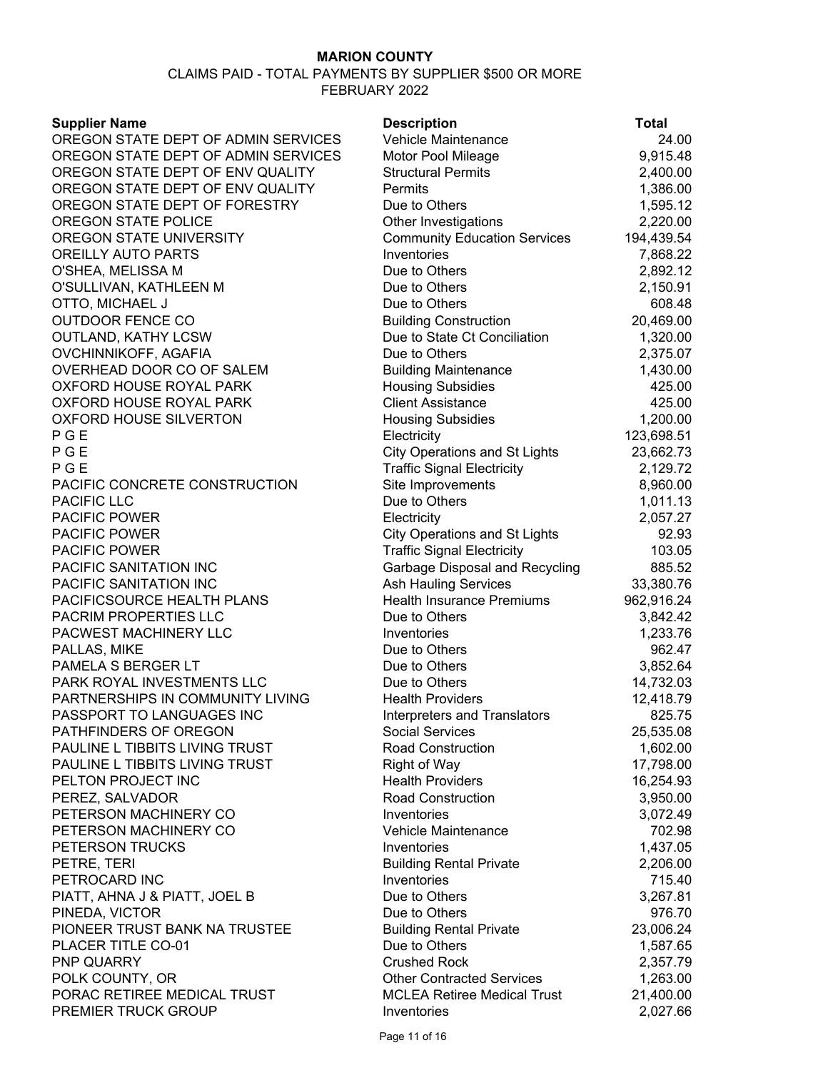| <b>Supplier Name</b>                | <b>Description</b>                   | <b>Total</b> |
|-------------------------------------|--------------------------------------|--------------|
| OREGON STATE DEPT OF ADMIN SERVICES | Vehicle Maintenance                  | 24.00        |
| OREGON STATE DEPT OF ADMIN SERVICES | Motor Pool Mileage                   | 9,915.48     |
| OREGON STATE DEPT OF ENV QUALITY    | <b>Structural Permits</b>            | 2,400.00     |
| OREGON STATE DEPT OF ENV QUALITY    | Permits                              | 1,386.00     |
| OREGON STATE DEPT OF FORESTRY       | Due to Others                        | 1,595.12     |
| OREGON STATE POLICE                 | Other Investigations                 | 2,220.00     |
| OREGON STATE UNIVERSITY             | <b>Community Education Services</b>  | 194,439.54   |
| OREILLY AUTO PARTS                  | Inventories                          | 7,868.22     |
| O'SHEA, MELISSA M                   | Due to Others                        | 2,892.12     |
| O'SULLIVAN, KATHLEEN M              | Due to Others                        | 2,150.91     |
| OTTO, MICHAEL J                     | Due to Others                        | 608.48       |
| <b>OUTDOOR FENCE CO</b>             | <b>Building Construction</b>         | 20,469.00    |
| <b>OUTLAND, KATHY LCSW</b>          | Due to State Ct Conciliation         | 1,320.00     |
| OVCHINNIKOFF, AGAFIA                | Due to Others                        | 2,375.07     |
| OVERHEAD DOOR CO OF SALEM           | <b>Building Maintenance</b>          | 1,430.00     |
| OXFORD HOUSE ROYAL PARK             | <b>Housing Subsidies</b>             | 425.00       |
| OXFORD HOUSE ROYAL PARK             | <b>Client Assistance</b>             | 425.00       |
| <b>OXFORD HOUSE SILVERTON</b>       | <b>Housing Subsidies</b>             | 1,200.00     |
| PGE                                 | Electricity                          | 123,698.51   |
| PGE                                 | <b>City Operations and St Lights</b> | 23,662.73    |
| PGE                                 | <b>Traffic Signal Electricity</b>    | 2,129.72     |
| PACIFIC CONCRETE CONSTRUCTION       | Site Improvements                    | 8,960.00     |
| PACIFIC LLC                         | Due to Others                        | 1,011.13     |
| PACIFIC POWER                       | Electricity                          | 2,057.27     |
| <b>PACIFIC POWER</b>                | <b>City Operations and St Lights</b> | 92.93        |
| PACIFIC POWER                       | <b>Traffic Signal Electricity</b>    | 103.05       |
| PACIFIC SANITATION INC              | Garbage Disposal and Recycling       | 885.52       |
| PACIFIC SANITATION INC              | <b>Ash Hauling Services</b>          | 33,380.76    |
| PACIFICSOURCE HEALTH PLANS          | <b>Health Insurance Premiums</b>     | 962,916.24   |
| PACRIM PROPERTIES LLC               | Due to Others                        | 3,842.42     |
| PACWEST MACHINERY LLC               | Inventories                          | 1,233.76     |
| PALLAS, MIKE                        | Due to Others                        | 962.47       |
| PAMELA S BERGER LT                  | Due to Others                        | 3,852.64     |
| PARK ROYAL INVESTMENTS LLC          | Due to Others                        | 14,732.03    |
| PARTNERSHIPS IN COMMUNITY LIVING    | <b>Health Providers</b>              | 12,418.79    |
| PASSPORT TO LANGUAGES INC           | Interpreters and Translators         | 825.75       |
| PATHFINDERS OF OREGON               | Social Services                      | 25,535.08    |
| PAULINE L TIBBITS LIVING TRUST      | <b>Road Construction</b>             | 1,602.00     |
| PAULINE L TIBBITS LIVING TRUST      | <b>Right of Way</b>                  | 17,798.00    |
| PELTON PROJECT INC                  | <b>Health Providers</b>              | 16,254.93    |
| PEREZ, SALVADOR                     | <b>Road Construction</b>             | 3,950.00     |
| PETERSON MACHINERY CO               | Inventories                          | 3,072.49     |
| PETERSON MACHINERY CO               | Vehicle Maintenance                  | 702.98       |
| PETERSON TRUCKS                     | Inventories                          | 1,437.05     |
| PETRE, TERI                         | <b>Building Rental Private</b>       | 2,206.00     |
| PETROCARD INC                       | Inventories                          | 715.40       |
| PIATT, AHNA J & PIATT, JOEL B       | Due to Others                        | 3,267.81     |
| PINEDA, VICTOR                      | Due to Others                        | 976.70       |
| PIONEER TRUST BANK NA TRUSTEE       | <b>Building Rental Private</b>       | 23,006.24    |
| PLACER TITLE CO-01                  | Due to Others                        | 1,587.65     |
| PNP QUARRY                          | <b>Crushed Rock</b>                  | 2,357.79     |
| POLK COUNTY, OR                     | <b>Other Contracted Services</b>     | 1,263.00     |
| PORAC RETIREE MEDICAL TRUST         | <b>MCLEA Retiree Medical Trust</b>   | 21,400.00    |
| PREMIER TRUCK GROUP                 | Inventories                          | 2,027.66     |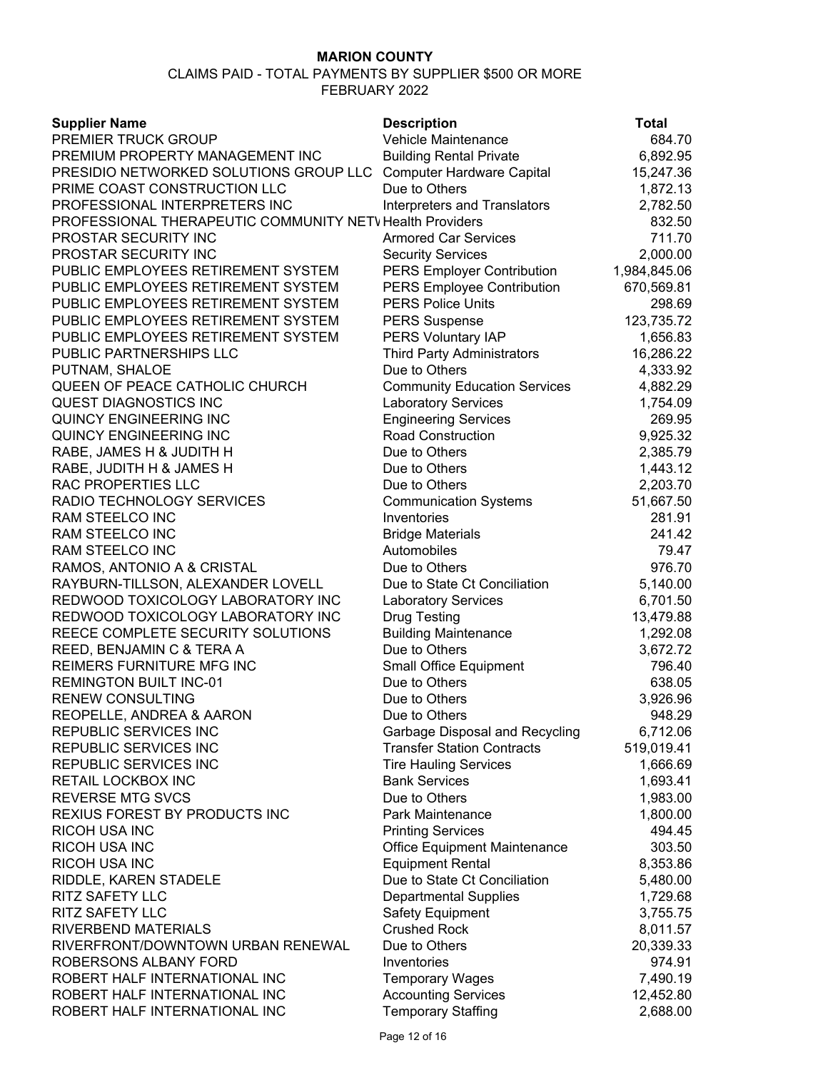| <b>Supplier Name</b>                                     | <b>Description</b>                  | Total        |
|----------------------------------------------------------|-------------------------------------|--------------|
| PREMIER TRUCK GROUP                                      | Vehicle Maintenance                 | 684.70       |
| PREMIUM PROPERTY MANAGEMENT INC                          | <b>Building Rental Private</b>      | 6,892.95     |
| PRESIDIO NETWORKED SOLUTIONS GROUP LLC                   | <b>Computer Hardware Capital</b>    | 15,247.36    |
| PRIME COAST CONSTRUCTION LLC                             | Due to Others                       | 1,872.13     |
| PROFESSIONAL INTERPRETERS INC                            | Interpreters and Translators        | 2,782.50     |
| PROFESSIONAL THERAPEUTIC COMMUNITY NETV Health Providers |                                     | 832.50       |
| PROSTAR SECURITY INC                                     | <b>Armored Car Services</b>         | 711.70       |
| PROSTAR SECURITY INC                                     | <b>Security Services</b>            | 2,000.00     |
| PUBLIC EMPLOYEES RETIREMENT SYSTEM                       | <b>PERS Employer Contribution</b>   | 1,984,845.06 |
| PUBLIC EMPLOYEES RETIREMENT SYSTEM                       | <b>PERS Employee Contribution</b>   | 670,569.81   |
| PUBLIC EMPLOYEES RETIREMENT SYSTEM                       | <b>PERS Police Units</b>            | 298.69       |
| PUBLIC EMPLOYEES RETIREMENT SYSTEM                       | <b>PERS Suspense</b>                | 123,735.72   |
| PUBLIC EMPLOYEES RETIREMENT SYSTEM                       | PERS Voluntary IAP                  | 1,656.83     |
| PUBLIC PARTNERSHIPS LLC                                  | <b>Third Party Administrators</b>   | 16,286.22    |
| PUTNAM, SHALOE                                           | Due to Others                       | 4,333.92     |
| QUEEN OF PEACE CATHOLIC CHURCH                           | <b>Community Education Services</b> | 4,882.29     |
| QUEST DIAGNOSTICS INC                                    | <b>Laboratory Services</b>          | 1,754.09     |
| <b>QUINCY ENGINEERING INC</b>                            | <b>Engineering Services</b>         | 269.95       |
| QUINCY ENGINEERING INC                                   | <b>Road Construction</b>            | 9,925.32     |
| RABE, JAMES H & JUDITH H                                 | Due to Others                       | 2,385.79     |
| RABE, JUDITH H & JAMES H                                 | Due to Others                       | 1,443.12     |
| RAC PROPERTIES LLC                                       | Due to Others                       | 2,203.70     |
| RADIO TECHNOLOGY SERVICES                                | <b>Communication Systems</b>        | 51,667.50    |
| RAM STEELCO INC                                          | Inventories                         | 281.91       |
| RAM STEELCO INC                                          | <b>Bridge Materials</b>             | 241.42       |
| RAM STEELCO INC                                          | Automobiles                         | 79.47        |
| RAMOS, ANTONIO A & CRISTAL                               | Due to Others                       | 976.70       |
| RAYBURN-TILLSON, ALEXANDER LOVELL                        | Due to State Ct Conciliation        | 5,140.00     |
| REDWOOD TOXICOLOGY LABORATORY INC                        | <b>Laboratory Services</b>          | 6,701.50     |
| REDWOOD TOXICOLOGY LABORATORY INC                        | <b>Drug Testing</b>                 | 13,479.88    |
| REECE COMPLETE SECURITY SOLUTIONS                        | <b>Building Maintenance</b>         | 1,292.08     |
| REED, BENJAMIN C & TERA A                                | Due to Others                       | 3,672.72     |
| REIMERS FURNITURE MFG INC                                | <b>Small Office Equipment</b>       | 796.40       |
| <b>REMINGTON BUILT INC-01</b>                            | Due to Others                       | 638.05       |
| <b>RENEW CONSULTING</b>                                  | Due to Others                       | 3,926.96     |
| REOPELLE, ANDREA & AARON                                 | Due to Others                       | 948.29       |
| REPUBLIC SERVICES INC                                    | Garbage Disposal and Recycling      | 6,712.06     |
| REPUBLIC SERVICES INC                                    | <b>Transfer Station Contracts</b>   | 519,019.41   |
| REPUBLIC SERVICES INC                                    | <b>Tire Hauling Services</b>        | 1,666.69     |
| RETAIL LOCKBOX INC                                       | <b>Bank Services</b>                | 1,693.41     |
| <b>REVERSE MTG SVCS</b>                                  | Due to Others                       | 1,983.00     |
| REXIUS FOREST BY PRODUCTS INC                            | Park Maintenance                    | 1,800.00     |
| <b>RICOH USA INC</b>                                     | <b>Printing Services</b>            | 494.45       |
| RICOH USA INC                                            | Office Equipment Maintenance        | 303.50       |
| <b>RICOH USA INC</b>                                     | <b>Equipment Rental</b>             | 8,353.86     |
| RIDDLE, KAREN STADELE                                    | Due to State Ct Conciliation        | 5,480.00     |
| <b>RITZ SAFETY LLC</b>                                   | <b>Departmental Supplies</b>        | 1,729.68     |
| RITZ SAFETY LLC                                          | <b>Safety Equipment</b>             | 3,755.75     |
| RIVERBEND MATERIALS                                      | <b>Crushed Rock</b>                 | 8,011.57     |
| RIVERFRONT/DOWNTOWN URBAN RENEWAL                        | Due to Others                       | 20,339.33    |
| ROBERSONS ALBANY FORD                                    | Inventories                         | 974.91       |
| ROBERT HALF INTERNATIONAL INC                            | <b>Temporary Wages</b>              | 7,490.19     |
| ROBERT HALF INTERNATIONAL INC                            | <b>Accounting Services</b>          | 12,452.80    |
| ROBERT HALF INTERNATIONAL INC                            | <b>Temporary Staffing</b>           | 2,688.00     |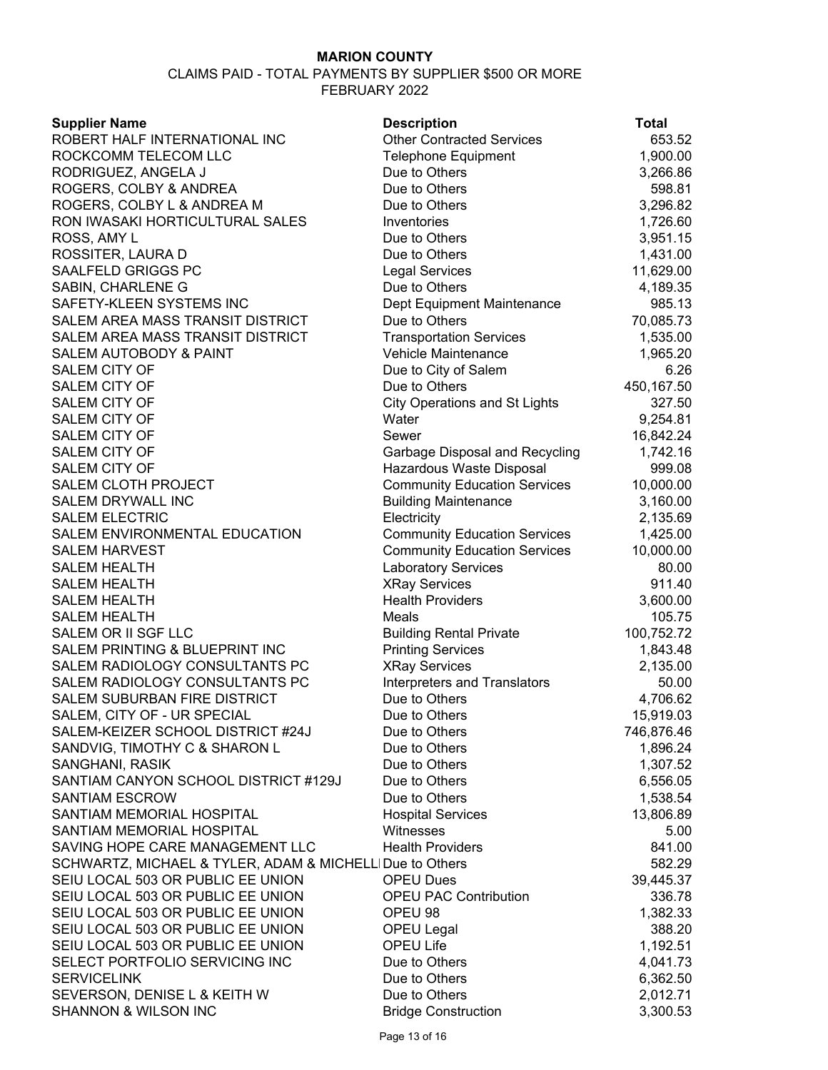#### CLAIMS PAID - TOTAL PAYMENTS BY SUPPLIER \$500 OR MORE FEBRUARY 2022

|  | Supplier Name |  |
|--|---------------|--|

**Description Total** ROBERT HALF INTERNATIONAL INC **Other Contracted Services** 653.52 ROCKCOMM TELECOM LLC Telephone Equipment 1,900.00 RODRIGUEZ, ANGELA J Due to Others 3,266.86 ROGERS, COLBY & ANDREA Due to Others FORE 2008.81 ROGERS, COLBY L & ANDREA M Due to Others 3,296.82 RON IWASAKI HORTICULTURAL SALES Inventories 1,726.60 ROSS, AMY L Due to Others 3,951.15 ROSSITER, LAURA D Due to Others 1,431.00 SAALFELD GRIGGS PC Legal Services Legal Services 21,629.00 SABIN, CHARLENE G Due to Others 4,189.35 SAFETY-KLEEN SYSTEMS INC **Dept Equipment Maintenance** 985.13 SALEM AREA MASS TRANSIT DISTRICT Due to Others 70,085.73 SALEM AREA MASS TRANSIT DISTRICT TRANSPORTATION Services 1,535.00 SALEM AUTOBODY & PAINT THE RESOLUTION Vehicle Maintenance The Music Music 1,965.20 SALEM CITY OF GALEM CITY OF THE RELATION CONTROL CONTROL CONTROL CONTROL OF DUE TO DUE TO CHILD OF THE SALEM CONTROL OF THE SALEM CONTROL OF THE SALEM CONTROL OF THE SALEM CONTROL OF THE SALEM CONTROL OF THE SALEM CONTROL SALEM CITY OF **Example 20 and SALEM CITY OF A SALEM CITY** OF  $\sim$  450,167.50 SALEM CITY OF CIty Operations and St Lights 327.50 SALEM CITY OF THE SALEM OF THE SALEM OF THE SALEM OF THE SALEM OF THE SALEM OF THE SALEM OF THE SALEM OF THE SALEM OF THE SALEM OF THE SALEM OF THE SALEM OF THE SALEM OF THE SALEM OF THE SALEM OF THE SALEM OF THE SALEM OF SALEM CITY OF Sexer Sewer Sewer Sewer 36,842.24 SALEM CITY OF Garbage Disposal and Recycling 1,742.16 SALEM CITY OF **ALLEM CITY OF ALLEM CITY OF** ALLEM ASSESSMENT ASSESSMENT MATCHER MATCHER METALLIC METALLONG MATCH SALEM CLOTH PROJECT **Community Education Services** 10,000.00 SALEM DRYWALL INC **SALEM DRYWALL INC Building Maintenance** 3,160.00 SALEM ELECTRIC **Electricity** Electricity **2,135.69** SALEM ENVIRONMENTAL EDUCATION Community Education Services 1,425.00 SALEM HARVEST **Community Education Services** 10,000.00 SALEM HEALTH **Random Contract Contract Contract Contract Contract Contract Contract Contract Contract Contract Contract Contract Contract Contract Contract Contract Contract Contract Contract Contract Contract Contract Con** SALEM HEALTH XRay Services 911.40 SALEM HEALTH GOOD CONTROLLER HEALTH HEALTH HEALTH HEALTH HEALTH HEALTH HEALTH HEALTH HEALTH HEALTH HEALTH HEALTH SALEM HEALTH **Meals** 105.75 SALEM OR II SGF LLC **SALEM** OR II SGF LLC SALEM PRINTING & BLUEPRINT INC Printing Services 1,843.48 SALEM RADIOLOGY CONSULTANTS PC XRay Services 2,135.00 SALEM RADIOLOGY CONSULTANTS PC linterpreters and Translators 60.00 SALEM SUBURBAN FIRE DISTRICT Due to Others 4,706.62 SALEM, CITY OF - UR SPECIAL DUE TO Due to Others 15,919.03 SALEM-KEIZER SCHOOL DISTRICT #24J Due to Others 746,876.46 SANDVIG, TIMOTHY C & SHARON L Due to Others 1,896.24 SANGHANI, RASIK **Example 2018** Due to Others 1,307.52 SANTIAM CANYON SCHOOL DISTRICT #129J Due to Others 6,556.05 SANTIAM ESCROW SANTIAM RESOLUTION OF THE SANTIAM Due to Others the control of the 1,538.54 SANTIAM MEMORIAL HOSPITAL Hospital Services 13,806.89 SANTIAM MEMORIAL HOSPITAL Witnesses 5.00 SAVING HOPE CARE MANAGEMENT LLC 
Health Providers

Health Providers  $841.00$ SCHWARTZ, MICHAEL & TYLER, ADAM & MICHELLI Due to Others 582.29 SEIU LOCAL 503 OR PUBLIC EE UNION OPEU Dues 39,445.37 SEIU LOCAL 503 OR PUBLIC EE UNION **OPEU PAC Contribution** 336.78 SEIU LOCAL 503 OR PUBLIC EE UNION OPEU 98 1,382.33 SEIU LOCAL 503 OR PUBLIC EE UNION OPEU Legal 388.20 SEIU LOCAL 503 OR PUBLIC EE UNION OPEU Life 1,192.51 SELECT PORTFOLIO SERVICING INC Due to Others 4,041.73 SERVICELINK 6,362.50 SEVERSON, DENISE L & KEITH W Due to Others 2,012.71 SHANNON & WILSON INC **Bridge Construction** 3,300.53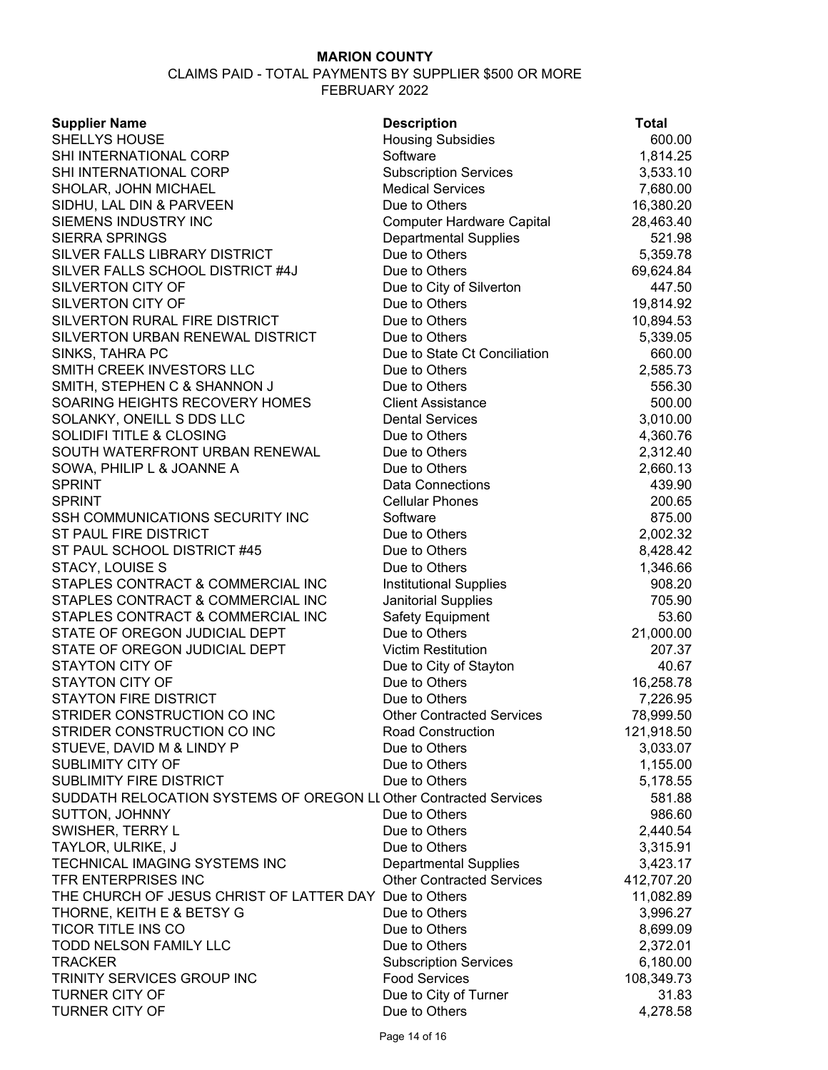| <b>Supplier Name</b>                                              | <b>Description</b>               | <b>Total</b> |
|-------------------------------------------------------------------|----------------------------------|--------------|
| <b>SHELLYS HOUSE</b>                                              | <b>Housing Subsidies</b>         | 600.00       |
| SHI INTERNATIONAL CORP                                            | Software                         | 1,814.25     |
| SHI INTERNATIONAL CORP                                            | <b>Subscription Services</b>     | 3,533.10     |
| SHOLAR, JOHN MICHAEL                                              | <b>Medical Services</b>          | 7,680.00     |
| SIDHU, LAL DIN & PARVEEN                                          | Due to Others                    | 16,380.20    |
| SIEMENS INDUSTRY INC                                              | <b>Computer Hardware Capital</b> | 28,463.40    |
| <b>SIERRA SPRINGS</b>                                             | <b>Departmental Supplies</b>     | 521.98       |
| SILVER FALLS LIBRARY DISTRICT                                     | Due to Others                    | 5,359.78     |
| SILVER FALLS SCHOOL DISTRICT #4J                                  | Due to Others                    | 69,624.84    |
| <b>SILVERTON CITY OF</b>                                          | Due to City of Silverton         | 447.50       |
| SILVERTON CITY OF                                                 | Due to Others                    | 19,814.92    |
| SILVERTON RURAL FIRE DISTRICT                                     | Due to Others                    | 10,894.53    |
| SILVERTON URBAN RENEWAL DISTRICT                                  | Due to Others                    | 5,339.05     |
| SINKS, TAHRA PC                                                   | Due to State Ct Conciliation     | 660.00       |
| SMITH CREEK INVESTORS LLC                                         | Due to Others                    | 2,585.73     |
| SMITH, STEPHEN C & SHANNON J                                      | Due to Others                    | 556.30       |
| SOARING HEIGHTS RECOVERY HOMES                                    | <b>Client Assistance</b>         | 500.00       |
| SOLANKY, ONEILL S DDS LLC                                         | <b>Dental Services</b>           | 3,010.00     |
| <b>SOLIDIFI TITLE &amp; CLOSING</b>                               | Due to Others                    | 4,360.76     |
| SOUTH WATERFRONT URBAN RENEWAL                                    | Due to Others                    | 2,312.40     |
| SOWA, PHILIP L & JOANNE A                                         | Due to Others                    | 2,660.13     |
| <b>SPRINT</b>                                                     | <b>Data Connections</b>          | 439.90       |
| <b>SPRINT</b>                                                     | <b>Cellular Phones</b>           | 200.65       |
| SSH COMMUNICATIONS SECURITY INC                                   | Software                         | 875.00       |
| ST PAUL FIRE DISTRICT                                             | Due to Others                    | 2,002.32     |
| ST PAUL SCHOOL DISTRICT #45                                       | Due to Others                    | 8,428.42     |
| STACY, LOUISE S                                                   | Due to Others                    | 1,346.66     |
| STAPLES CONTRACT & COMMERCIAL INC                                 | <b>Institutional Supplies</b>    | 908.20       |
| STAPLES CONTRACT & COMMERCIAL INC                                 | <b>Janitorial Supplies</b>       | 705.90       |
| STAPLES CONTRACT & COMMERCIAL INC                                 | <b>Safety Equipment</b>          | 53.60        |
| STATE OF OREGON JUDICIAL DEPT                                     | Due to Others                    | 21,000.00    |
| STATE OF OREGON JUDICIAL DEPT                                     | <b>Victim Restitution</b>        | 207.37       |
| <b>STAYTON CITY OF</b>                                            | Due to City of Stayton           | 40.67        |
| <b>STAYTON CITY OF</b>                                            | Due to Others                    | 16,258.78    |
| <b>STAYTON FIRE DISTRICT</b>                                      | Due to Others                    | 7,226.95     |
| STRIDER CONSTRUCTION CO INC                                       | <b>Other Contracted Services</b> | 78,999.50    |
| STRIDER CONSTRUCTION CO INC                                       | <b>Road Construction</b>         | 121,918.50   |
| STUEVE, DAVID M & LINDY P                                         | Due to Others                    | 3,033.07     |
| <b>SUBLIMITY CITY OF</b>                                          | Due to Others                    | 1,155.00     |
| <b>SUBLIMITY FIRE DISTRICT</b>                                    | Due to Others                    | 5,178.55     |
| SUDDATH RELOCATION SYSTEMS OF OREGON LL Other Contracted Services |                                  | 581.88       |
| SUTTON, JOHNNY                                                    | Due to Others                    | 986.60       |
| SWISHER, TERRY L                                                  | Due to Others                    | 2,440.54     |
| TAYLOR, ULRIKE, J                                                 | Due to Others                    | 3,315.91     |
| TECHNICAL IMAGING SYSTEMS INC                                     | <b>Departmental Supplies</b>     | 3,423.17     |
| TFR ENTERPRISES INC                                               | <b>Other Contracted Services</b> | 412,707.20   |
| THE CHURCH OF JESUS CHRIST OF LATTER DAY Due to Others            |                                  | 11,082.89    |
| THORNE, KEITH E & BETSY G                                         | Due to Others                    | 3,996.27     |
| <b>TICOR TITLE INS CO</b>                                         | Due to Others                    | 8,699.09     |
| TODD NELSON FAMILY LLC                                            | Due to Others                    | 2,372.01     |
| <b>TRACKER</b>                                                    | <b>Subscription Services</b>     | 6,180.00     |
| TRINITY SERVICES GROUP INC                                        | <b>Food Services</b>             | 108,349.73   |
| <b>TURNER CITY OF</b>                                             | Due to City of Turner            | 31.83        |
| TURNER CITY OF                                                    | Due to Others                    | 4,278.58     |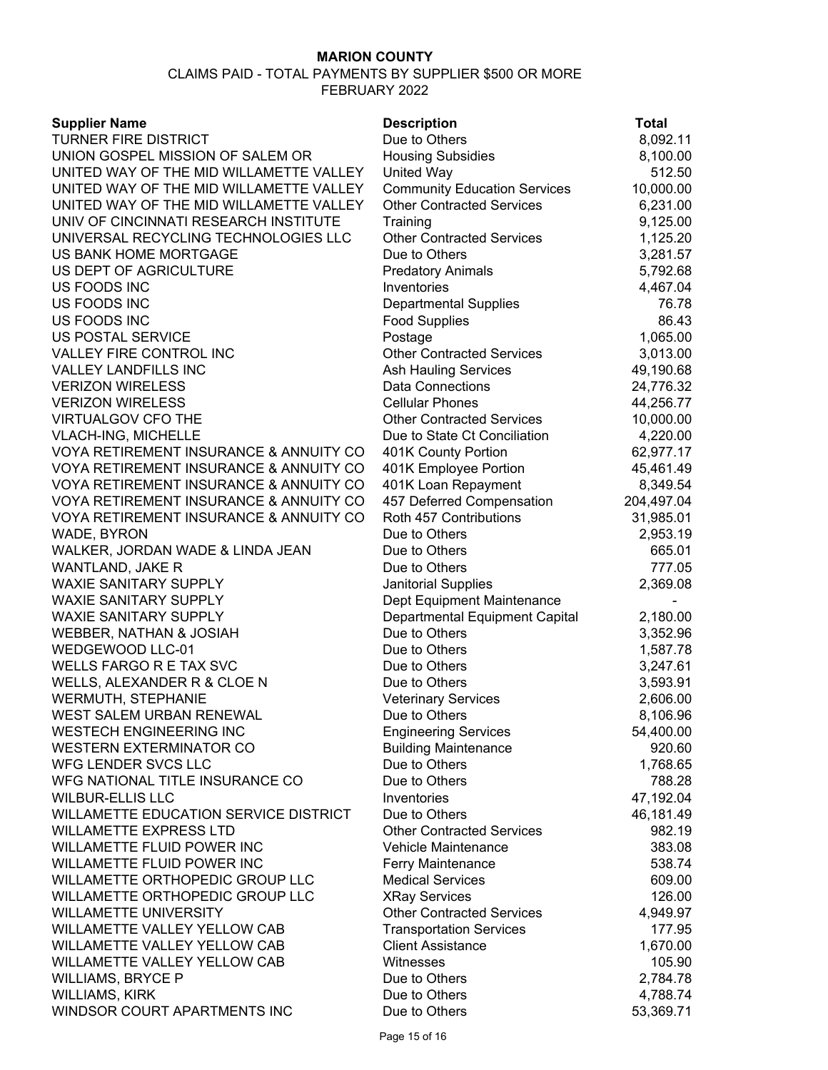| <b>Supplier Name</b>                         | <b>Description</b>                  | <b>Total</b> |
|----------------------------------------------|-------------------------------------|--------------|
| <b>TURNER FIRE DISTRICT</b>                  | Due to Others                       | 8,092.11     |
| UNION GOSPEL MISSION OF SALEM OR             | <b>Housing Subsidies</b>            | 8,100.00     |
| UNITED WAY OF THE MID WILLAMETTE VALLEY      | <b>United Way</b>                   | 512.50       |
| UNITED WAY OF THE MID WILLAMETTE VALLEY      | <b>Community Education Services</b> | 10,000.00    |
| UNITED WAY OF THE MID WILLAMETTE VALLEY      | <b>Other Contracted Services</b>    | 6,231.00     |
| UNIV OF CINCINNATI RESEARCH INSTITUTE        | Training                            | 9,125.00     |
| UNIVERSAL RECYCLING TECHNOLOGIES LLC         | <b>Other Contracted Services</b>    | 1,125.20     |
| US BANK HOME MORTGAGE                        | Due to Others                       | 3,281.57     |
| US DEPT OF AGRICULTURE                       | <b>Predatory Animals</b>            | 5,792.68     |
| US FOODS INC                                 | Inventories                         | 4,467.04     |
| US FOODS INC                                 | <b>Departmental Supplies</b>        | 76.78        |
| US FOODS INC                                 | <b>Food Supplies</b>                | 86.43        |
| US POSTAL SERVICE                            | Postage                             | 1,065.00     |
| VALLEY FIRE CONTROL INC                      | <b>Other Contracted Services</b>    | 3,013.00     |
| <b>VALLEY LANDFILLS INC</b>                  | <b>Ash Hauling Services</b>         | 49,190.68    |
| <b>VERIZON WIRELESS</b>                      | <b>Data Connections</b>             | 24,776.32    |
| <b>VERIZON WIRELESS</b>                      | <b>Cellular Phones</b>              | 44,256.77    |
| <b>VIRTUALGOV CFO THE</b>                    | <b>Other Contracted Services</b>    | 10,000.00    |
| <b>VLACH-ING, MICHELLE</b>                   | Due to State Ct Conciliation        | 4,220.00     |
| VOYA RETIREMENT INSURANCE & ANNUITY CO       | 401K County Portion                 | 62,977.17    |
| VOYA RETIREMENT INSURANCE & ANNUITY CO       | 401K Employee Portion               | 45,461.49    |
| VOYA RETIREMENT INSURANCE & ANNUITY CO       | 401K Loan Repayment                 | 8,349.54     |
| VOYA RETIREMENT INSURANCE & ANNUITY CO       | 457 Deferred Compensation           | 204,497.04   |
| VOYA RETIREMENT INSURANCE & ANNUITY CO       | Roth 457 Contributions              | 31,985.01    |
| WADE, BYRON                                  | Due to Others                       | 2,953.19     |
| WALKER, JORDAN WADE & LINDA JEAN             | Due to Others                       | 665.01       |
| WANTLAND, JAKE R                             | Due to Others                       | 777.05       |
| <b>WAXIE SANITARY SUPPLY</b>                 | <b>Janitorial Supplies</b>          | 2,369.08     |
| <b>WAXIE SANITARY SUPPLY</b>                 | Dept Equipment Maintenance          |              |
| <b>WAXIE SANITARY SUPPLY</b>                 | Departmental Equipment Capital      | 2,180.00     |
| WEBBER, NATHAN & JOSIAH                      | Due to Others                       | 3,352.96     |
| WEDGEWOOD LLC-01                             | Due to Others                       | 1,587.78     |
| <b>WELLS FARGO R E TAX SVC</b>               | Due to Others                       | 3,247.61     |
| WELLS, ALEXANDER R & CLOE N                  | Due to Others                       | 3,593.91     |
| <b>WERMUTH, STEPHANIE</b>                    | <b>Veterinary Services</b>          | 2,606.00     |
| WEST SALEM URBAN RENEWAL                     | Due to Others                       | 8,106.96     |
| <b>WESTECH ENGINEERING INC</b>               | <b>Engineering Services</b>         | 54,400.00    |
| <b>WESTERN EXTERMINATOR CO</b>               | <b>Building Maintenance</b>         | 920.60       |
| WFG LENDER SVCS LLC                          | Due to Others                       | 1,768.65     |
| WFG NATIONAL TITLE INSURANCE CO              | Due to Others                       | 788.28       |
| <b>WILBUR-ELLIS LLC</b>                      | Inventories                         | 47,192.04    |
| <b>WILLAMETTE EDUCATION SERVICE DISTRICT</b> | Due to Others                       | 46,181.49    |
| <b>WILLAMETTE EXPRESS LTD</b>                | <b>Other Contracted Services</b>    | 982.19       |
| WILLAMETTE FLUID POWER INC                   | Vehicle Maintenance                 | 383.08       |
| WILLAMETTE FLUID POWER INC                   | Ferry Maintenance                   | 538.74       |
| WILLAMETTE ORTHOPEDIC GROUP LLC              | <b>Medical Services</b>             | 609.00       |
| WILLAMETTE ORTHOPEDIC GROUP LLC              | <b>XRay Services</b>                | 126.00       |
| <b>WILLAMETTE UNIVERSITY</b>                 | <b>Other Contracted Services</b>    | 4,949.97     |
| WILLAMETTE VALLEY YELLOW CAB                 | <b>Transportation Services</b>      | 177.95       |
| WILLAMETTE VALLEY YELLOW CAB                 | <b>Client Assistance</b>            | 1,670.00     |
| WILLAMETTE VALLEY YELLOW CAB                 | Witnesses                           | 105.90       |
| <b>WILLIAMS, BRYCE P</b>                     | Due to Others                       | 2,784.78     |
| <b>WILLIAMS, KIRK</b>                        | Due to Others                       | 4,788.74     |
| WINDSOR COURT APARTMENTS INC                 | Due to Others                       | 53,369.71    |